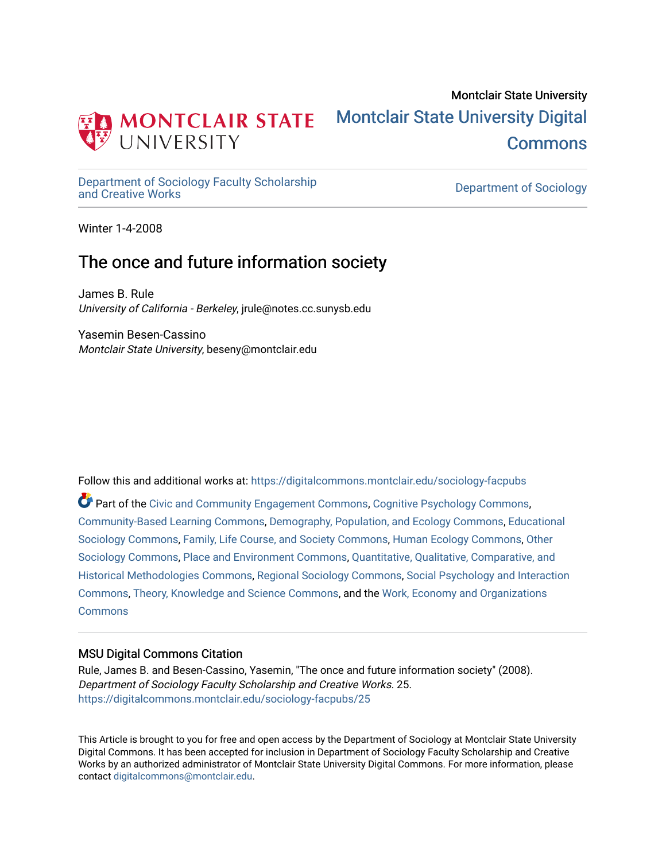

# Montclair State University [Montclair State University Digital](https://digitalcommons.montclair.edu/)  [Commons](https://digitalcommons.montclair.edu/)

[Department of Sociology Faculty Scholarship](https://digitalcommons.montclair.edu/sociology-facpubs)

Department of Sociology

Winter 1-4-2008

## The once and future information society

James B. Rule University of California - Berkeley, jrule@notes.cc.sunysb.edu

Yasemin Besen-Cassino Montclair State University, beseny@montclair.edu

Follow this and additional works at: [https://digitalcommons.montclair.edu/sociology-facpubs](https://digitalcommons.montclair.edu/sociology-facpubs?utm_source=digitalcommons.montclair.edu%2Fsociology-facpubs%2F25&utm_medium=PDF&utm_campaign=PDFCoverPages)

Part of the [Civic and Community Engagement Commons](http://network.bepress.com/hgg/discipline/1028?utm_source=digitalcommons.montclair.edu%2Fsociology-facpubs%2F25&utm_medium=PDF&utm_campaign=PDFCoverPages), [Cognitive Psychology Commons,](http://network.bepress.com/hgg/discipline/408?utm_source=digitalcommons.montclair.edu%2Fsociology-facpubs%2F25&utm_medium=PDF&utm_campaign=PDFCoverPages) [Community-Based Learning Commons](http://network.bepress.com/hgg/discipline/1046?utm_source=digitalcommons.montclair.edu%2Fsociology-facpubs%2F25&utm_medium=PDF&utm_campaign=PDFCoverPages), [Demography, Population, and Ecology Commons](http://network.bepress.com/hgg/discipline/418?utm_source=digitalcommons.montclair.edu%2Fsociology-facpubs%2F25&utm_medium=PDF&utm_campaign=PDFCoverPages), [Educational](http://network.bepress.com/hgg/discipline/1071?utm_source=digitalcommons.montclair.edu%2Fsociology-facpubs%2F25&utm_medium=PDF&utm_campaign=PDFCoverPages)  [Sociology Commons](http://network.bepress.com/hgg/discipline/1071?utm_source=digitalcommons.montclair.edu%2Fsociology-facpubs%2F25&utm_medium=PDF&utm_campaign=PDFCoverPages), [Family, Life Course, and Society Commons,](http://network.bepress.com/hgg/discipline/419?utm_source=digitalcommons.montclair.edu%2Fsociology-facpubs%2F25&utm_medium=PDF&utm_campaign=PDFCoverPages) [Human Ecology Commons,](http://network.bepress.com/hgg/discipline/1335?utm_source=digitalcommons.montclair.edu%2Fsociology-facpubs%2F25&utm_medium=PDF&utm_campaign=PDFCoverPages) [Other](http://network.bepress.com/hgg/discipline/434?utm_source=digitalcommons.montclair.edu%2Fsociology-facpubs%2F25&utm_medium=PDF&utm_campaign=PDFCoverPages) [Sociology Commons](http://network.bepress.com/hgg/discipline/434?utm_source=digitalcommons.montclair.edu%2Fsociology-facpubs%2F25&utm_medium=PDF&utm_campaign=PDFCoverPages), [Place and Environment Commons](http://network.bepress.com/hgg/discipline/424?utm_source=digitalcommons.montclair.edu%2Fsociology-facpubs%2F25&utm_medium=PDF&utm_campaign=PDFCoverPages), [Quantitative, Qualitative, Comparative, and](http://network.bepress.com/hgg/discipline/423?utm_source=digitalcommons.montclair.edu%2Fsociology-facpubs%2F25&utm_medium=PDF&utm_campaign=PDFCoverPages)  [Historical Methodologies Commons](http://network.bepress.com/hgg/discipline/423?utm_source=digitalcommons.montclair.edu%2Fsociology-facpubs%2F25&utm_medium=PDF&utm_campaign=PDFCoverPages), [Regional Sociology Commons,](http://network.bepress.com/hgg/discipline/427?utm_source=digitalcommons.montclair.edu%2Fsociology-facpubs%2F25&utm_medium=PDF&utm_campaign=PDFCoverPages) [Social Psychology and Interaction](http://network.bepress.com/hgg/discipline/430?utm_source=digitalcommons.montclair.edu%2Fsociology-facpubs%2F25&utm_medium=PDF&utm_campaign=PDFCoverPages)  [Commons](http://network.bepress.com/hgg/discipline/430?utm_source=digitalcommons.montclair.edu%2Fsociology-facpubs%2F25&utm_medium=PDF&utm_campaign=PDFCoverPages), [Theory, Knowledge and Science Commons](http://network.bepress.com/hgg/discipline/432?utm_source=digitalcommons.montclair.edu%2Fsociology-facpubs%2F25&utm_medium=PDF&utm_campaign=PDFCoverPages), and the [Work, Economy and Organizations](http://network.bepress.com/hgg/discipline/433?utm_source=digitalcommons.montclair.edu%2Fsociology-facpubs%2F25&utm_medium=PDF&utm_campaign=PDFCoverPages) **[Commons](http://network.bepress.com/hgg/discipline/433?utm_source=digitalcommons.montclair.edu%2Fsociology-facpubs%2F25&utm_medium=PDF&utm_campaign=PDFCoverPages)** 

### MSU Digital Commons Citation

Rule, James B. and Besen-Cassino, Yasemin, "The once and future information society" (2008). Department of Sociology Faculty Scholarship and Creative Works. 25. [https://digitalcommons.montclair.edu/sociology-facpubs/25](https://digitalcommons.montclair.edu/sociology-facpubs/25?utm_source=digitalcommons.montclair.edu%2Fsociology-facpubs%2F25&utm_medium=PDF&utm_campaign=PDFCoverPages) 

This Article is brought to you for free and open access by the Department of Sociology at Montclair State University Digital Commons. It has been accepted for inclusion in Department of Sociology Faculty Scholarship and Creative Works by an authorized administrator of Montclair State University Digital Commons. For more information, please contact [digitalcommons@montclair.edu](mailto:digitalcommons@montclair.edu).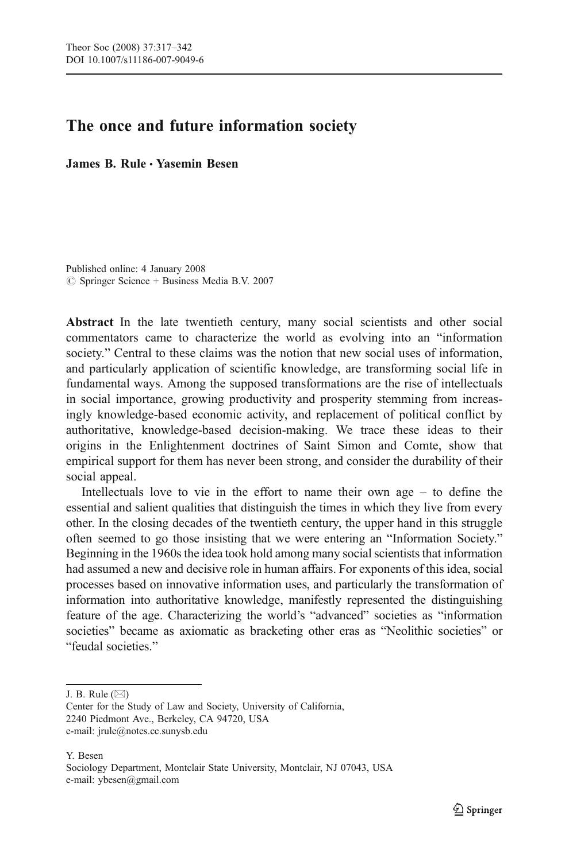## The once and future information society

James B. Rule *&* Yasemin Besen

Published online: 4 January 2008  $\circledcirc$  Springer Science + Business Media B.V. 2007

Abstract In the late twentieth century, many social scientists and other social commentators came to characterize the world as evolving into an "information society." Central to these claims was the notion that new social uses of information, and particularly application of scientific knowledge, are transforming social life in fundamental ways. Among the supposed transformations are the rise of intellectuals in social importance, growing productivity and prosperity stemming from increasingly knowledge-based economic activity, and replacement of political conflict by authoritative, knowledge-based decision-making. We trace these ideas to their origins in the Enlightenment doctrines of Saint Simon and Comte, show that empirical support for them has never been strong, and consider the durability of their social appeal.

Intellectuals love to vie in the effort to name their own age – to define the essential and salient qualities that distinguish the times in which they live from every other. In the closing decades of the twentieth century, the upper hand in this struggle often seemed to go those insisting that we were entering an "Information Society." Beginning in the 1960s the idea took hold among many social scientists that information had assumed a new and decisive role in human affairs. For exponents of this idea, social processes based on innovative information uses, and particularly the transformation of information into authoritative knowledge, manifestly represented the distinguishing feature of the age. Characterizing the world's "advanced" societies as "information societies" became as axiomatic as bracketing other eras as "Neolithic societies" or "feudal societies."

J. B. Rule (*\**)

Y. Besen

Center for the Study of Law and Society, University of California, 2240 Piedmont Ave., Berkeley, CA 94720, USA e-mail: jrule@notes.cc.sunysb.edu

Sociology Department, Montclair State University, Montclair, NJ 07043, USA e-mail: ybesen@gmail.com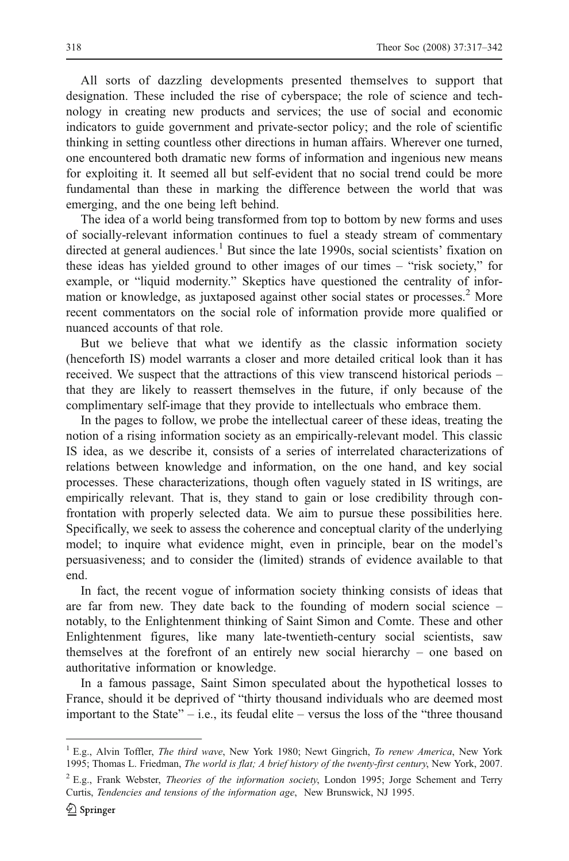All sorts of dazzling developments presented themselves to support that designation. These included the rise of cyberspace; the role of science and technology in creating new products and services; the use of social and economic indicators to guide government and private-sector policy; and the role of scientific thinking in setting countless other directions in human affairs. Wherever one turned, one encountered both dramatic new forms of information and ingenious new means for exploiting it. It seemed all but self-evident that no social trend could be more fundamental than these in marking the difference between the world that was emerging, and the one being left behind.

The idea of a world being transformed from top to bottom by new forms and uses of socially-relevant information continues to fuel a steady stream of commentary directed at general audiences.<sup>1</sup> But since the late 1990s, social scientists' fixation on these ideas has yielded ground to other images of our times – "risk society," for example, or "liquid modernity." Skeptics have questioned the centrality of information or knowledge, as juxtaposed against other social states or processes.<sup>2</sup> More recent commentators on the social role of information provide more qualified or nuanced accounts of that role.

But we believe that what we identify as the classic information society (henceforth IS) model warrants a closer and more detailed critical look than it has received. We suspect that the attractions of this view transcend historical periods – that they are likely to reassert themselves in the future, if only because of the complimentary self-image that they provide to intellectuals who embrace them.

In the pages to follow, we probe the intellectual career of these ideas, treating the notion of a rising information society as an empirically-relevant model. This classic IS idea, as we describe it, consists of a series of interrelated characterizations of relations between knowledge and information, on the one hand, and key social processes. These characterizations, though often vaguely stated in IS writings, are empirically relevant. That is, they stand to gain or lose credibility through confrontation with properly selected data. We aim to pursue these possibilities here. Specifically, we seek to assess the coherence and conceptual clarity of the underlying model; to inquire what evidence might, even in principle, bear on the model's persuasiveness; and to consider the (limited) strands of evidence available to that end.

In fact, the recent vogue of information society thinking consists of ideas that are far from new. They date back to the founding of modern social science – notably, to the Enlightenment thinking of Saint Simon and Comte. These and other Enlightenment figures, like many late-twentieth-century social scientists, saw themselves at the forefront of an entirely new social hierarchy – one based on authoritative information or knowledge.

In a famous passage, Saint Simon speculated about the hypothetical losses to France, should it be deprived of "thirty thousand individuals who are deemed most important to the State" – i.e., its feudal elite – versus the loss of the "three thousand

<sup>&</sup>lt;sup>1</sup> E.g., Alvin Toffler, *The third wave*, New York 1980; Newt Gingrich, *To renew America*, New York 1995; Thomas L. Friedman, The world is flat; A brief history of the twenty-first century, New York, 2007.

 $^{2}$  E.g., Frank Webster, *Theories of the information society*, London 1995; Jorge Schement and Terry Curtis, Tendencies and tensions of the information age, New Brunswick, NJ 1995.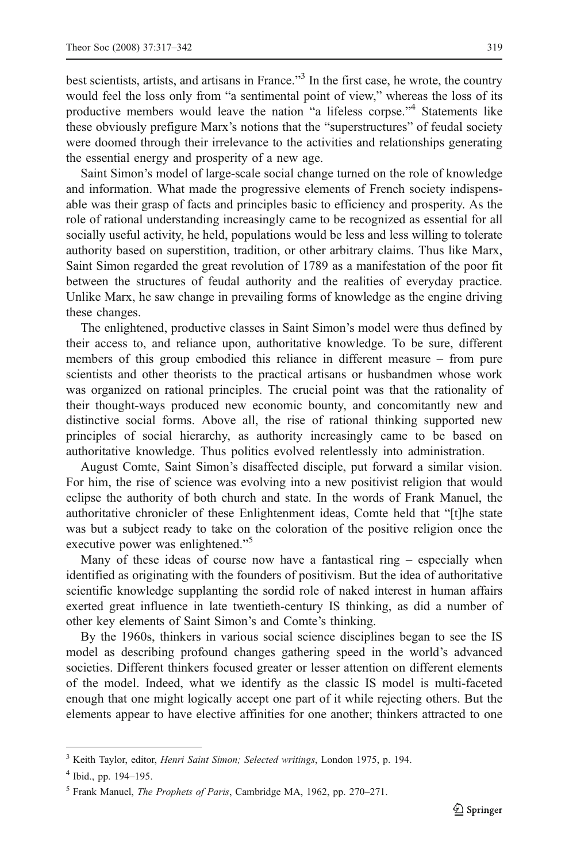best scientists, artists, and artisans in France." <sup>3</sup> In the first case, he wrote, the country would feel the loss only from "a sentimental point of view," whereas the loss of its productive members would leave the nation "a lifeless corpse." <sup>4</sup> Statements like these obviously prefigure Marx's notions that the "superstructures" of feudal society were doomed through their irrelevance to the activities and relationships generating the essential energy and prosperity of a new age.

Saint Simon's model of large-scale social change turned on the role of knowledge and information. What made the progressive elements of French society indispensable was their grasp of facts and principles basic to efficiency and prosperity. As the role of rational understanding increasingly came to be recognized as essential for all socially useful activity, he held, populations would be less and less willing to tolerate authority based on superstition, tradition, or other arbitrary claims. Thus like Marx, Saint Simon regarded the great revolution of 1789 as a manifestation of the poor fit between the structures of feudal authority and the realities of everyday practice. Unlike Marx, he saw change in prevailing forms of knowledge as the engine driving these changes.

The enlightened, productive classes in Saint Simon's model were thus defined by their access to, and reliance upon, authoritative knowledge. To be sure, different members of this group embodied this reliance in different measure – from pure scientists and other theorists to the practical artisans or husbandmen whose work was organized on rational principles. The crucial point was that the rationality of their thought-ways produced new economic bounty, and concomitantly new and distinctive social forms. Above all, the rise of rational thinking supported new principles of social hierarchy, as authority increasingly came to be based on authoritative knowledge. Thus politics evolved relentlessly into administration.

August Comte, Saint Simon's disaffected disciple, put forward a similar vision. For him, the rise of science was evolving into a new positivist religion that would eclipse the authority of both church and state. In the words of Frank Manuel, the authoritative chronicler of these Enlightenment ideas, Comte held that "[t]he state was but a subject ready to take on the coloration of the positive religion once the executive power was enlightened."<sup>5</sup>

Many of these ideas of course now have a fantastical ring  $-$  especially when identified as originating with the founders of positivism. But the idea of authoritative scientific knowledge supplanting the sordid role of naked interest in human affairs exerted great influence in late twentieth-century IS thinking, as did a number of other key elements of Saint Simon's and Comte's thinking.

By the 1960s, thinkers in various social science disciplines began to see the IS model as describing profound changes gathering speed in the world's advanced societies. Different thinkers focused greater or lesser attention on different elements of the model. Indeed, what we identify as the classic IS model is multi-faceted enough that one might logically accept one part of it while rejecting others. But the elements appear to have elective affinities for one another; thinkers attracted to one

<sup>&</sup>lt;sup>3</sup> Keith Taylor, editor, *Henri Saint Simon; Selected writings*, London 1975, p. 194.

 $4$  Ibid., pp. 194–195.

<sup>&</sup>lt;sup>5</sup> Frank Manuel, *The Prophets of Paris*, Cambridge MA, 1962, pp. 270–271.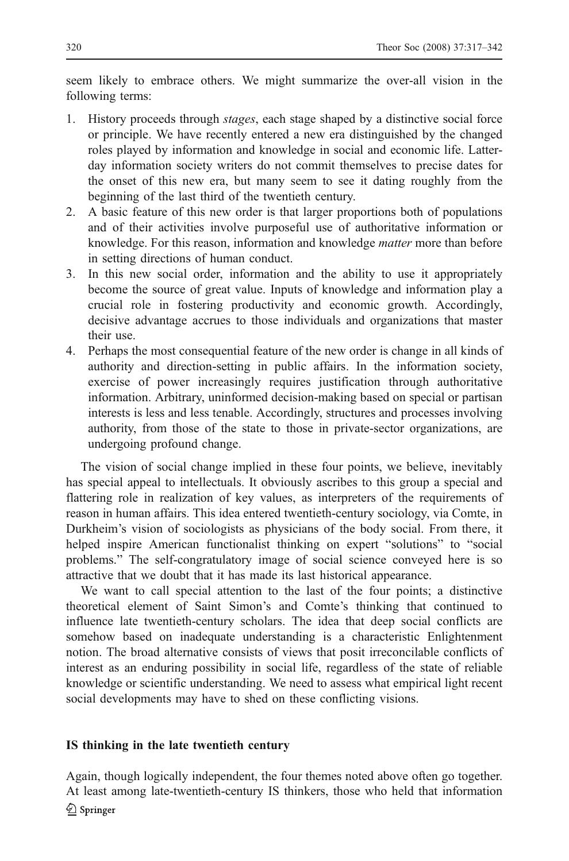seem likely to embrace others. We might summarize the over-all vision in the following terms:

- 1. History proceeds through *stages*, each stage shaped by a distinctive social force or principle. We have recently entered a new era distinguished by the changed roles played by information and knowledge in social and economic life. Latterday information society writers do not commit themselves to precise dates for the onset of this new era, but many seem to see it dating roughly from the beginning of the last third of the twentieth century.
- 2. A basic feature of this new order is that larger proportions both of populations and of their activities involve purposeful use of authoritative information or knowledge. For this reason, information and knowledge matter more than before in setting directions of human conduct.
- 3. In this new social order, information and the ability to use it appropriately become the source of great value. Inputs of knowledge and information play a crucial role in fostering productivity and economic growth. Accordingly, decisive advantage accrues to those individuals and organizations that master their use.
- 4. Perhaps the most consequential feature of the new order is change in all kinds of authority and direction-setting in public affairs. In the information society, exercise of power increasingly requires justification through authoritative information. Arbitrary, uninformed decision-making based on special or partisan interests is less and less tenable. Accordingly, structures and processes involving authority, from those of the state to those in private-sector organizations, are undergoing profound change.

The vision of social change implied in these four points, we believe, inevitably has special appeal to intellectuals. It obviously ascribes to this group a special and flattering role in realization of key values, as interpreters of the requirements of reason in human affairs. This idea entered twentieth-century sociology, via Comte, in Durkheim's vision of sociologists as physicians of the body social. From there, it helped inspire American functionalist thinking on expert "solutions" to "social problems." The self-congratulatory image of social science conveyed here is so attractive that we doubt that it has made its last historical appearance.

We want to call special attention to the last of the four points; a distinctive theoretical element of Saint Simon's and Comte's thinking that continued to influence late twentieth-century scholars. The idea that deep social conflicts are somehow based on inadequate understanding is a characteristic Enlightenment notion. The broad alternative consists of views that posit irreconcilable conflicts of interest as an enduring possibility in social life, regardless of the state of reliable knowledge or scientific understanding. We need to assess what empirical light recent social developments may have to shed on these conflicting visions.

#### IS thinking in the late twentieth century

Again, though logically independent, the four themes noted above often go together. At least among late-twentieth-century IS thinkers, those who held that information 2 Springer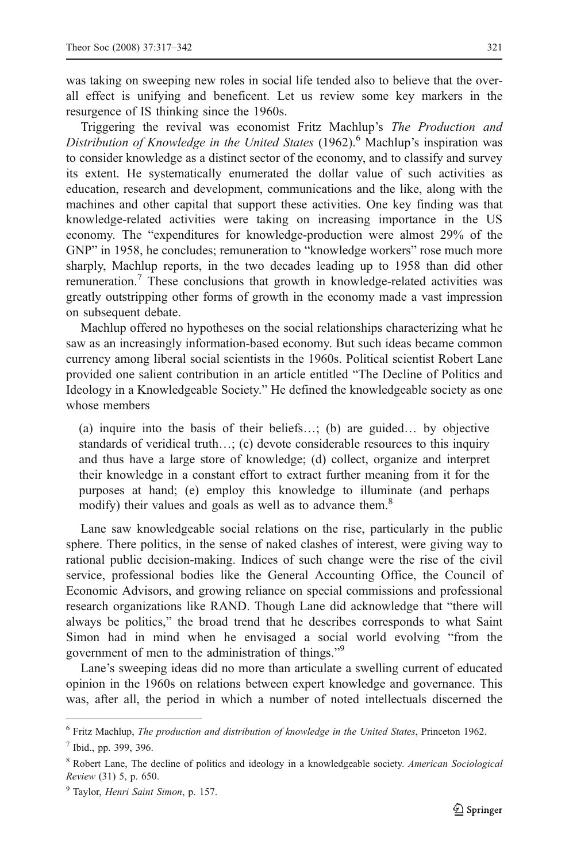was taking on sweeping new roles in social life tended also to believe that the overall effect is unifying and beneficent. Let us review some key markers in the resurgence of IS thinking since the 1960s.

Triggering the revival was economist Fritz Machlup's The Production and Distribution of Knowledge in the United States  $(1962)$ .<sup>6</sup> Machlup's inspiration was to consider knowledge as a distinct sector of the economy, and to classify and survey its extent. He systematically enumerated the dollar value of such activities as education, research and development, communications and the like, along with the machines and other capital that support these activities. One key finding was that knowledge-related activities were taking on increasing importance in the US economy. The "expenditures for knowledge-production were almost 29% of the GNP" in 1958, he concludes; remuneration to "knowledge workers" rose much more sharply, Machlup reports, in the two decades leading up to 1958 than did other remuneration.<sup>7</sup> These conclusions that growth in knowledge-related activities was greatly outstripping other forms of growth in the economy made a vast impression on subsequent debate.

Machlup offered no hypotheses on the social relationships characterizing what he saw as an increasingly information-based economy. But such ideas became common currency among liberal social scientists in the 1960s. Political scientist Robert Lane provided one salient contribution in an article entitled "The Decline of Politics and Ideology in a Knowledgeable Society." He defined the knowledgeable society as one whose members

(a) inquire into the basis of their beliefs…; (b) are guided… by objective standards of veridical truth…; (c) devote considerable resources to this inquiry and thus have a large store of knowledge; (d) collect, organize and interpret their knowledge in a constant effort to extract further meaning from it for the purposes at hand; (e) employ this knowledge to illuminate (and perhaps modify) their values and goals as well as to advance them.<sup>8</sup>

Lane saw knowledgeable social relations on the rise, particularly in the public sphere. There politics, in the sense of naked clashes of interest, were giving way to rational public decision-making. Indices of such change were the rise of the civil service, professional bodies like the General Accounting Office, the Council of Economic Advisors, and growing reliance on special commissions and professional research organizations like RAND. Though Lane did acknowledge that "there will always be politics," the broad trend that he describes corresponds to what Saint Simon had in mind when he envisaged a social world evolving "from the government of men to the administration of things."<sup>9</sup>

Lane's sweeping ideas did no more than articulate a swelling current of educated opinion in the 1960s on relations between expert knowledge and governance. This was, after all, the period in which a number of noted intellectuals discerned the

 $6$  Fritz Machlup, The production and distribution of knowledge in the United States, Princeton 1962.

<sup>7</sup> Ibid., pp. 399, 396.

<sup>&</sup>lt;sup>8</sup> Robert Lane, The decline of politics and ideology in a knowledgeable society. American Sociological Review (31) 5, p. 650.

<sup>&</sup>lt;sup>9</sup> Taylor, *Henri Saint Simon*, p. 157.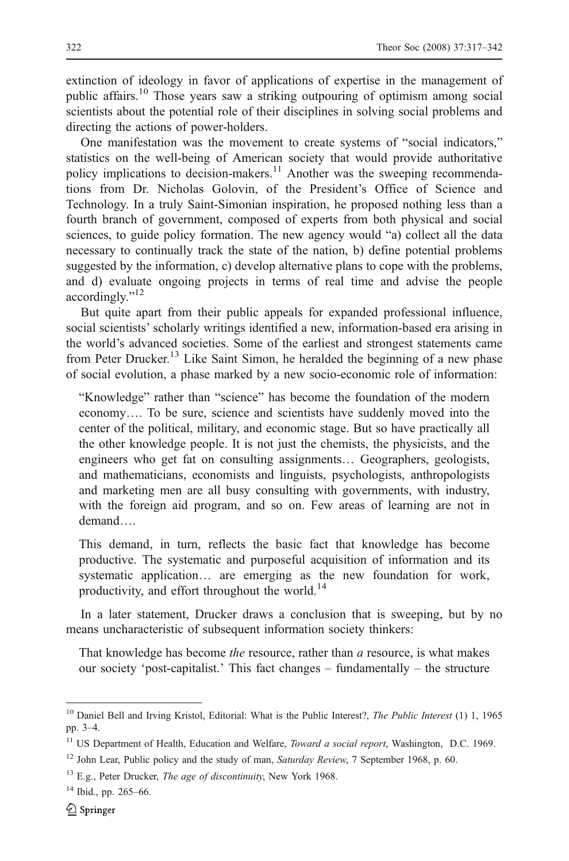extinction of ideology in favor of applications of expertise in the management of public affairs.<sup>10</sup> Those years saw a striking outpouring of optimism among social scientists about the potential role of their disciplines in solving social problems and directing the actions of power-holders.

One manifestation was the movement to create systems of "social indicators," statistics on the well-being of American society that would provide authoritative policy implications to decision-makers.<sup>11</sup> Another was the sweeping recommendations from Dr. Nicholas Golovin, of the President's Office of Science and Technology. In a truly Saint-Simonian inspiration, he proposed nothing less than a fourth branch of government, composed of experts from both physical and social sciences, to guide policy formation. The new agency would "a) collect all the data necessary to continually track the state of the nation, b) define potential problems suggested by the information, c) develop alternative plans to cope with the problems, and d) evaluate ongoing projects in terms of real time and advise the people accordingly." 12

But quite apart from their public appeals for expanded professional influence, social scientists' scholarly writings identified a new, information-based era arising in the world's advanced societies. Some of the earliest and strongest statements came from Peter Drucker.<sup>13</sup> Like Saint Simon, he heralded the beginning of a new phase of social evolution, a phase marked by a new socio-economic role of information:

"Knowledge" rather than "science" has become the foundation of the modern economy…. To be sure, science and scientists have suddenly moved into the center of the political, military, and economic stage. But so have practically all the other knowledge people. It is not just the chemists, the physicists, and the engineers who get fat on consulting assignments… Geographers, geologists, and mathematicians, economists and linguists, psychologists, anthropologists and marketing men are all busy consulting with governments, with industry, with the foreign aid program, and so on. Few areas of learning are not in demand….

This demand, in turn, reflects the basic fact that knowledge has become productive. The systematic and purposeful acquisition of information and its systematic application… are emerging as the new foundation for work, productivity, and effort throughout the world.<sup>14</sup>

In a later statement, Drucker draws a conclusion that is sweeping, but by no means uncharacteristic of subsequent information society thinkers:

That knowledge has become the resource, rather than a resource, is what makes our society 'post-capitalist.' This fact changes – fundamentally – the structure

<sup>&</sup>lt;sup>10</sup> Daniel Bell and Irving Kristol, Editorial: What is the Public Interest?, The Public Interest (1) 1, 1965 pp. 3–4.

<sup>&</sup>lt;sup>11</sup> US Department of Health, Education and Welfare, *Toward a social report*, Washington, D.C. 1969.

<sup>&</sup>lt;sup>12</sup> John Lear, Public policy and the study of man, Saturday Review, 7 September 1968, p. 60.

 $13$  E.g., Peter Drucker, *The age of discontinuity*, New York 1968.

<sup>14</sup> Ibid., pp. 265–66.

<sup>2</sup> Springer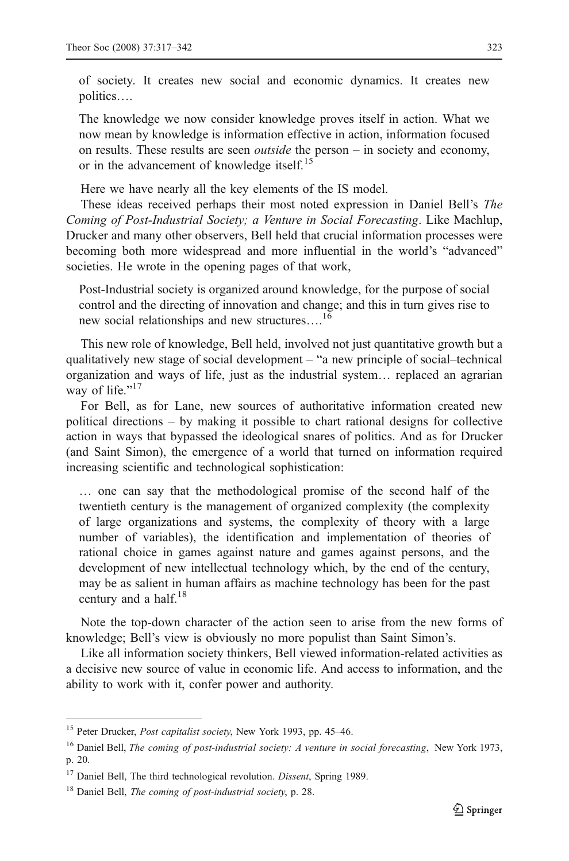The knowledge we now consider knowledge proves itself in action. What we now mean by knowledge is information effective in action, information focused on results. These results are seen outside the person – in society and economy, or in the advancement of knowledge itself.<sup>15</sup>

Here we have nearly all the key elements of the IS model.

These ideas received perhaps their most noted expression in Daniel Bell's The Coming of Post-Industrial Society; a Venture in Social Forecasting. Like Machlup, Drucker and many other observers, Bell held that crucial information processes were becoming both more widespread and more influential in the world's "advanced" societies. He wrote in the opening pages of that work,

Post-Industrial society is organized around knowledge, for the purpose of social control and the directing of innovation and change; and this in turn gives rise to new social relationships and new structures....<sup>16</sup>

This new role of knowledge, Bell held, involved not just quantitative growth but a qualitatively new stage of social development – "a new principle of social–technical organization and ways of life, just as the industrial system… replaced an agrarian way of life."<sup>17</sup>

For Bell, as for Lane, new sources of authoritative information created new political directions – by making it possible to chart rational designs for collective action in ways that bypassed the ideological snares of politics. And as for Drucker (and Saint Simon), the emergence of a world that turned on information required increasing scientific and technological sophistication:

… one can say that the methodological promise of the second half of the twentieth century is the management of organized complexity (the complexity of large organizations and systems, the complexity of theory with a large number of variables), the identification and implementation of theories of rational choice in games against nature and games against persons, and the development of new intellectual technology which, by the end of the century, may be as salient in human affairs as machine technology has been for the past century and a half. $18$ 

Note the top-down character of the action seen to arise from the new forms of knowledge; Bell's view is obviously no more populist than Saint Simon's.

Like all information society thinkers, Bell viewed information-related activities as a decisive new source of value in economic life. And access to information, and the ability to work with it, confer power and authority.

<sup>&</sup>lt;sup>15</sup> Peter Drucker, *Post capitalist society*, New York 1993, pp. 45-46.

<sup>&</sup>lt;sup>16</sup> Daniel Bell, The coming of post-industrial society: A venture in social forecasting, New York 1973, p. 20.

<sup>&</sup>lt;sup>17</sup> Daniel Bell, The third technological revolution. Dissent, Spring 1989.

<sup>&</sup>lt;sup>18</sup> Daniel Bell, *The coming of post-industrial society*, p. 28.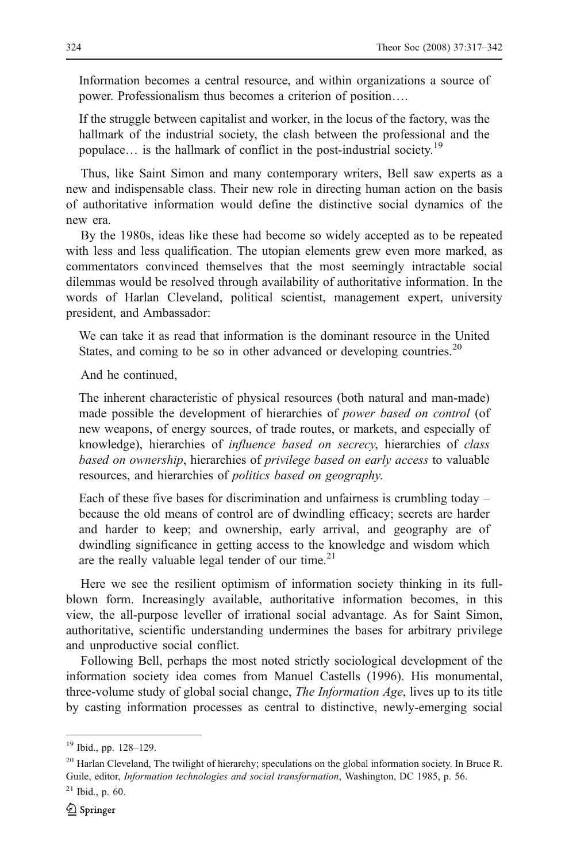Information becomes a central resource, and within organizations a source of power. Professionalism thus becomes a criterion of position….

If the struggle between capitalist and worker, in the locus of the factory, was the hallmark of the industrial society, the clash between the professional and the populace… is the hallmark of conflict in the post-industrial society.<sup>19</sup>

Thus, like Saint Simon and many contemporary writers, Bell saw experts as a new and indispensable class. Their new role in directing human action on the basis of authoritative information would define the distinctive social dynamics of the new era.

By the 1980s, ideas like these had become so widely accepted as to be repeated with less and less qualification. The utopian elements grew even more marked, as commentators convinced themselves that the most seemingly intractable social dilemmas would be resolved through availability of authoritative information. In the words of Harlan Cleveland, political scientist, management expert, university president, and Ambassador:

We can take it as read that information is the dominant resource in the United States, and coming to be so in other advanced or developing countries.<sup>20</sup>

And he continued,

The inherent characteristic of physical resources (both natural and man-made) made possible the development of hierarchies of power based on control (of new weapons, of energy sources, of trade routes, or markets, and especially of knowledge), hierarchies of influence based on secrecy, hierarchies of class based on ownership, hierarchies of privilege based on early access to valuable resources, and hierarchies of politics based on geography.

Each of these five bases for discrimination and unfairness is crumbling today – because the old means of control are of dwindling efficacy; secrets are harder and harder to keep; and ownership, early arrival, and geography are of dwindling significance in getting access to the knowledge and wisdom which are the really valuable legal tender of our time.<sup>21</sup>

Here we see the resilient optimism of information society thinking in its fullblown form. Increasingly available, authoritative information becomes, in this view, the all-purpose leveller of irrational social advantage. As for Saint Simon, authoritative, scientific understanding undermines the bases for arbitrary privilege and unproductive social conflict.

Following Bell, perhaps the most noted strictly sociological development of the information society idea comes from Manuel Castells (1996). His monumental, three-volume study of global social change, The Information Age, lives up to its title by casting information processes as central to distinctive, newly-emerging social

<sup>19</sup> Ibid., pp. 128–129.

<sup>&</sup>lt;sup>20</sup> Harlan Cleveland, The twilight of hierarchy; speculations on the global information society. In Bruce R. Guile, editor, Information technologies and social transformation, Washington, DC 1985, p. 56.  $21$  Ibid., p. 60.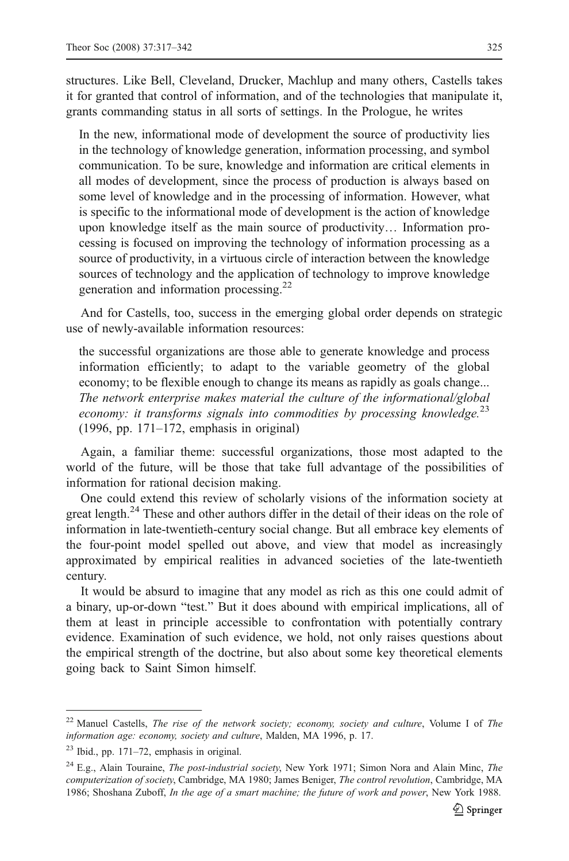structures. Like Bell, Cleveland, Drucker, Machlup and many others, Castells takes it for granted that control of information, and of the technologies that manipulate it, grants commanding status in all sorts of settings. In the Prologue, he writes

In the new, informational mode of development the source of productivity lies in the technology of knowledge generation, information processing, and symbol communication. To be sure, knowledge and information are critical elements in all modes of development, since the process of production is always based on some level of knowledge and in the processing of information. However, what is specific to the informational mode of development is the action of knowledge upon knowledge itself as the main source of productivity… Information processing is focused on improving the technology of information processing as a source of productivity, in a virtuous circle of interaction between the knowledge sources of technology and the application of technology to improve knowledge generation and information processing.<sup>22</sup>

And for Castells, too, success in the emerging global order depends on strategic use of newly-available information resources:

the successful organizations are those able to generate knowledge and process information efficiently; to adapt to the variable geometry of the global economy; to be flexible enough to change its means as rapidly as goals change... The network enterprise makes material the culture of the informational/global economy: it transforms signals into commodities by processing knowledge. $^{23}$ (1996, pp. 171–172, emphasis in original)

Again, a familiar theme: successful organizations, those most adapted to the world of the future, will be those that take full advantage of the possibilities of information for rational decision making.

One could extend this review of scholarly visions of the information society at great length.<sup>24</sup> These and other authors differ in the detail of their ideas on the role of information in late-twentieth-century social change. But all embrace key elements of the four-point model spelled out above, and view that model as increasingly approximated by empirical realities in advanced societies of the late-twentieth century.

It would be absurd to imagine that any model as rich as this one could admit of a binary, up-or-down "test." But it does abound with empirical implications, all of them at least in principle accessible to confrontation with potentially contrary evidence. Examination of such evidence, we hold, not only raises questions about the empirical strength of the doctrine, but also about some key theoretical elements going back to Saint Simon himself.

 $22$  Manuel Castells, The rise of the network society; economy, society and culture, Volume I of The information age: economy, society and culture, Malden, MA 1996, p. 17.

<sup>23</sup> Ibid., pp. 171–72, emphasis in original.

 $^{24}$  E.g., Alain Touraine, The post-industrial society, New York 1971; Simon Nora and Alain Minc, The computerization of society, Cambridge, MA 1980; James Beniger, The control revolution, Cambridge, MA 1986; Shoshana Zuboff, In the age of a smart machine; the future of work and power, New York 1988.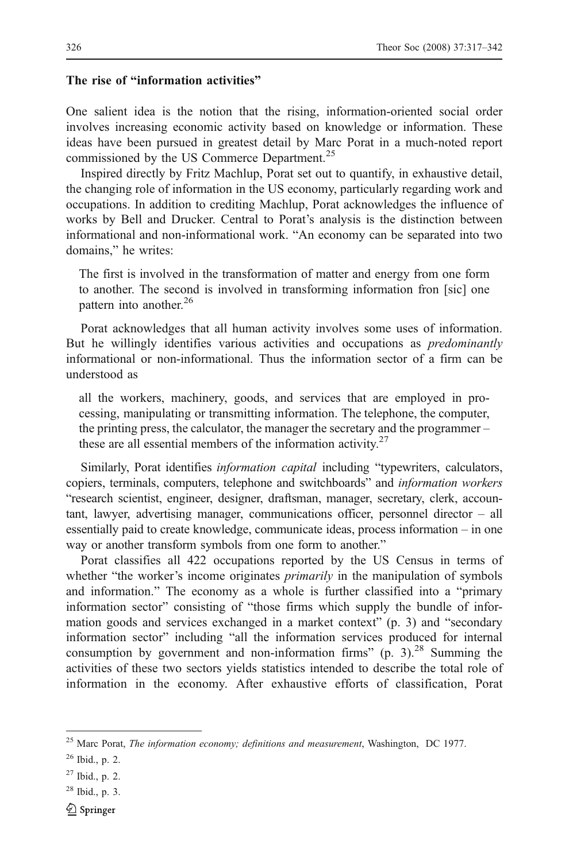#### The rise of "information activities"

One salient idea is the notion that the rising, information-oriented social order involves increasing economic activity based on knowledge or information. These ideas have been pursued in greatest detail by Marc Porat in a much-noted report commissioned by the US Commerce Department.<sup>25</sup>

Inspired directly by Fritz Machlup, Porat set out to quantify, in exhaustive detail, the changing role of information in the US economy, particularly regarding work and occupations. In addition to crediting Machlup, Porat acknowledges the influence of works by Bell and Drucker. Central to Porat's analysis is the distinction between informational and non-informational work. "An economy can be separated into two domains," he writes:

The first is involved in the transformation of matter and energy from one form to another. The second is involved in transforming information fron [sic] one pattern into another.<sup>26</sup>

Porat acknowledges that all human activity involves some uses of information. But he willingly identifies various activities and occupations as *predominantly* informational or non-informational. Thus the information sector of a firm can be understood as

all the workers, machinery, goods, and services that are employed in processing, manipulating or transmitting information. The telephone, the computer, the printing press, the calculator, the manager the secretary and the programmer – these are all essential members of the information activity. $27$ 

Similarly, Porat identifies information capital including "typewriters, calculators, copiers, terminals, computers, telephone and switchboards" and information workers "research scientist, engineer, designer, draftsman, manager, secretary, clerk, accountant, lawyer, advertising manager, communications officer, personnel director – all essentially paid to create knowledge, communicate ideas, process information – in one way or another transform symbols from one form to another."

Porat classifies all 422 occupations reported by the US Census in terms of whether "the worker's income originates *primarily* in the manipulation of symbols and information." The economy as a whole is further classified into a "primary information sector" consisting of "those firms which supply the bundle of information goods and services exchanged in a market context" (p. 3) and "secondary information sector" including "all the information services produced for internal consumption by government and non-information firms"  $(p, 3)$ .<sup>28</sup> Summing the activities of these two sectors yields statistics intended to describe the total role of information in the economy. After exhaustive efforts of classification, Porat

2 Springer

 $^{25}$  Marc Porat, The information economy; definitions and measurement, Washington, DC 1977.

 $26$  Ibid., p. 2.

 $27$  Ibid., p. 2.

 $28$  Ibid., p. 3.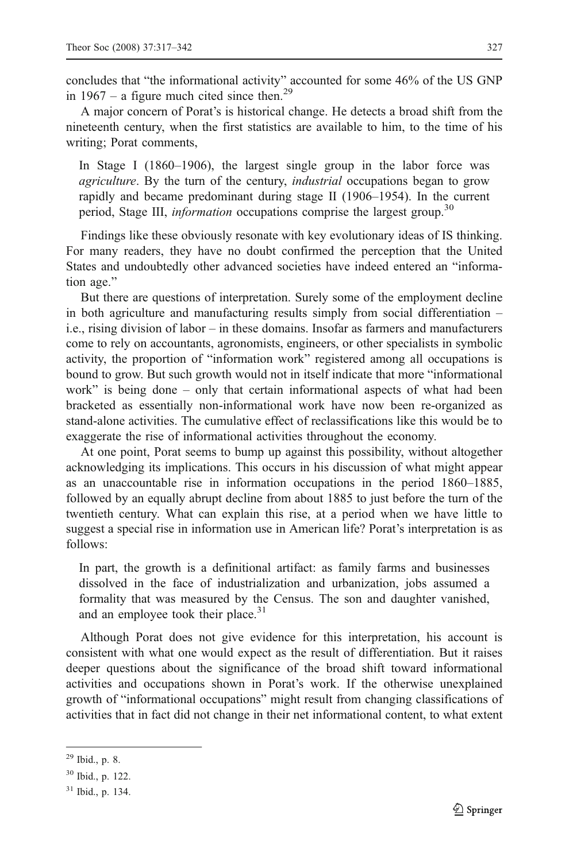concludes that "the informational activity" accounted for some 46% of the US GNP in 1967 – a figure much cited since then.<sup>29</sup>

A major concern of Porat's is historical change. He detects a broad shift from the nineteenth century, when the first statistics are available to him, to the time of his writing; Porat comments,

In Stage I (1860–1906), the largest single group in the labor force was *agriculture*. By the turn of the century, *industrial* occupations began to grow rapidly and became predominant during stage II (1906–1954). In the current period, Stage III, *information* occupations comprise the largest group.<sup>30</sup>

Findings like these obviously resonate with key evolutionary ideas of IS thinking. For many readers, they have no doubt confirmed the perception that the United States and undoubtedly other advanced societies have indeed entered an "information age."

But there are questions of interpretation. Surely some of the employment decline in both agriculture and manufacturing results simply from social differentiation – i.e., rising division of labor – in these domains. Insofar as farmers and manufacturers come to rely on accountants, agronomists, engineers, or other specialists in symbolic activity, the proportion of "information work" registered among all occupations is bound to grow. But such growth would not in itself indicate that more "informational work" is being done – only that certain informational aspects of what had been bracketed as essentially non-informational work have now been re-organized as stand-alone activities. The cumulative effect of reclassifications like this would be to exaggerate the rise of informational activities throughout the economy.

At one point, Porat seems to bump up against this possibility, without altogether acknowledging its implications. This occurs in his discussion of what might appear as an unaccountable rise in information occupations in the period 1860–1885, followed by an equally abrupt decline from about 1885 to just before the turn of the twentieth century. What can explain this rise, at a period when we have little to suggest a special rise in information use in American life? Porat's interpretation is as follows:

In part, the growth is a definitional artifact: as family farms and businesses dissolved in the face of industrialization and urbanization, jobs assumed a formality that was measured by the Census. The son and daughter vanished, and an employee took their place.<sup>31</sup>

Although Porat does not give evidence for this interpretation, his account is consistent with what one would expect as the result of differentiation. But it raises deeper questions about the significance of the broad shift toward informational activities and occupations shown in Porat's work. If the otherwise unexplained growth of "informational occupations" might result from changing classifications of activities that in fact did not change in their net informational content, to what extent

 $29$  Ibid., p. 8.

<sup>30</sup> Ibid., p. 122.

<sup>31</sup> Ibid., p. 134.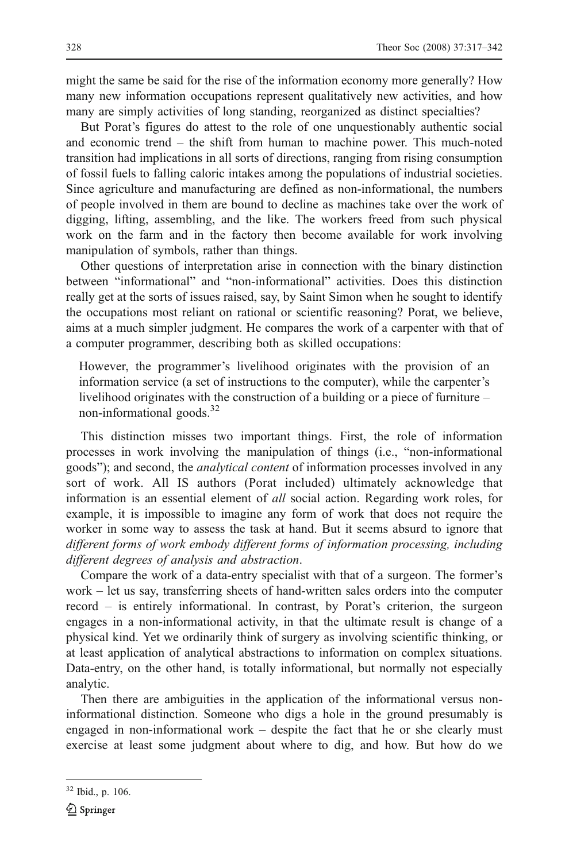might the same be said for the rise of the information economy more generally? How many new information occupations represent qualitatively new activities, and how many are simply activities of long standing, reorganized as distinct specialties?

But Porat's figures do attest to the role of one unquestionably authentic social and economic trend – the shift from human to machine power. This much-noted transition had implications in all sorts of directions, ranging from rising consumption of fossil fuels to falling caloric intakes among the populations of industrial societies. Since agriculture and manufacturing are defined as non-informational, the numbers of people involved in them are bound to decline as machines take over the work of digging, lifting, assembling, and the like. The workers freed from such physical work on the farm and in the factory then become available for work involving manipulation of symbols, rather than things.

Other questions of interpretation arise in connection with the binary distinction between "informational" and "non-informational" activities. Does this distinction really get at the sorts of issues raised, say, by Saint Simon when he sought to identify the occupations most reliant on rational or scientific reasoning? Porat, we believe, aims at a much simpler judgment. He compares the work of a carpenter with that of a computer programmer, describing both as skilled occupations:

However, the programmer's livelihood originates with the provision of an information service (a set of instructions to the computer), while the carpenter's livelihood originates with the construction of a building or a piece of furniture – non-informational goods.<sup>32</sup>

This distinction misses two important things. First, the role of information processes in work involving the manipulation of things (i.e., "non-informational goods"); and second, the *analytical content* of information processes involved in any sort of work. All IS authors (Porat included) ultimately acknowledge that information is an essential element of all social action. Regarding work roles, for example, it is impossible to imagine any form of work that does not require the worker in some way to assess the task at hand. But it seems absurd to ignore that different forms of work embody different forms of information processing, including different degrees of analysis and abstraction.

Compare the work of a data-entry specialist with that of a surgeon. The former's work – let us say, transferring sheets of hand-written sales orders into the computer record – is entirely informational. In contrast, by Porat's criterion, the surgeon engages in a non-informational activity, in that the ultimate result is change of a physical kind. Yet we ordinarily think of surgery as involving scientific thinking, or at least application of analytical abstractions to information on complex situations. Data-entry, on the other hand, is totally informational, but normally not especially analytic.

Then there are ambiguities in the application of the informational versus noninformational distinction. Someone who digs a hole in the ground presumably is engaged in non-informational work – despite the fact that he or she clearly must exercise at least some judgment about where to dig, and how. But how do we

<sup>32</sup> Ibid., p. 106.

<sup>2</sup> Springer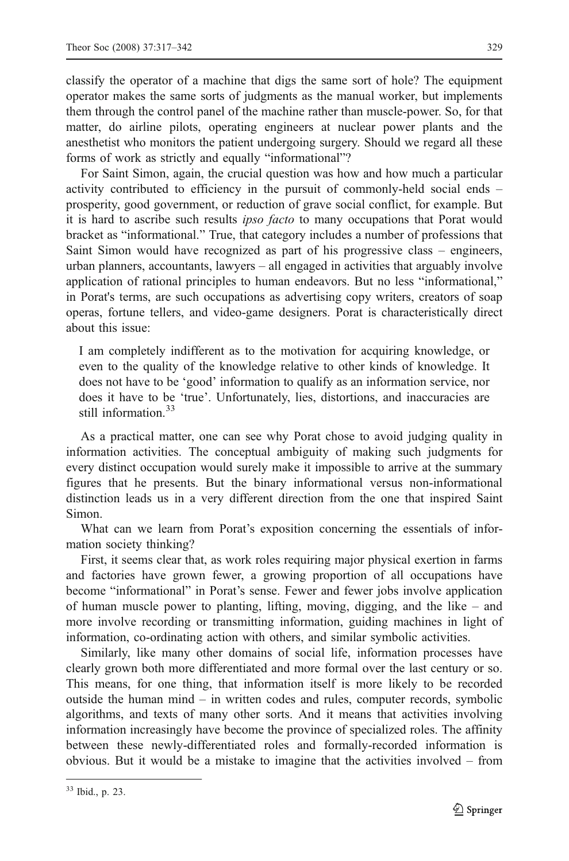classify the operator of a machine that digs the same sort of hole? The equipment operator makes the same sorts of judgments as the manual worker, but implements them through the control panel of the machine rather than muscle-power. So, for that matter, do airline pilots, operating engineers at nuclear power plants and the anesthetist who monitors the patient undergoing surgery. Should we regard all these forms of work as strictly and equally "informational"?

For Saint Simon, again, the crucial question was how and how much a particular activity contributed to efficiency in the pursuit of commonly-held social ends – prosperity, good government, or reduction of grave social conflict, for example. But it is hard to ascribe such results ipso facto to many occupations that Porat would bracket as "informational." True, that category includes a number of professions that Saint Simon would have recognized as part of his progressive class – engineers, urban planners, accountants, lawyers – all engaged in activities that arguably involve application of rational principles to human endeavors. But no less "informational," in Porat's terms, are such occupations as advertising copy writers, creators of soap operas, fortune tellers, and video-game designers. Porat is characteristically direct about this issue:

I am completely indifferent as to the motivation for acquiring knowledge, or even to the quality of the knowledge relative to other kinds of knowledge. It does not have to be 'good' information to qualify as an information service, nor does it have to be 'true'. Unfortunately, lies, distortions, and inaccuracies are still information.<sup>33</sup>

As a practical matter, one can see why Porat chose to avoid judging quality in information activities. The conceptual ambiguity of making such judgments for every distinct occupation would surely make it impossible to arrive at the summary figures that he presents. But the binary informational versus non-informational distinction leads us in a very different direction from the one that inspired Saint Simon.

What can we learn from Porat's exposition concerning the essentials of information society thinking?

First, it seems clear that, as work roles requiring major physical exertion in farms and factories have grown fewer, a growing proportion of all occupations have become "informational" in Porat's sense. Fewer and fewer jobs involve application of human muscle power to planting, lifting, moving, digging, and the like – and more involve recording or transmitting information, guiding machines in light of information, co-ordinating action with others, and similar symbolic activities.

Similarly, like many other domains of social life, information processes have clearly grown both more differentiated and more formal over the last century or so. This means, for one thing, that information itself is more likely to be recorded outside the human mind – in written codes and rules, computer records, symbolic algorithms, and texts of many other sorts. And it means that activities involving information increasingly have become the province of specialized roles. The affinity between these newly-differentiated roles and formally-recorded information is obvious. But it would be a mistake to imagine that the activities involved – from

<sup>33</sup> Ibid., p. 23.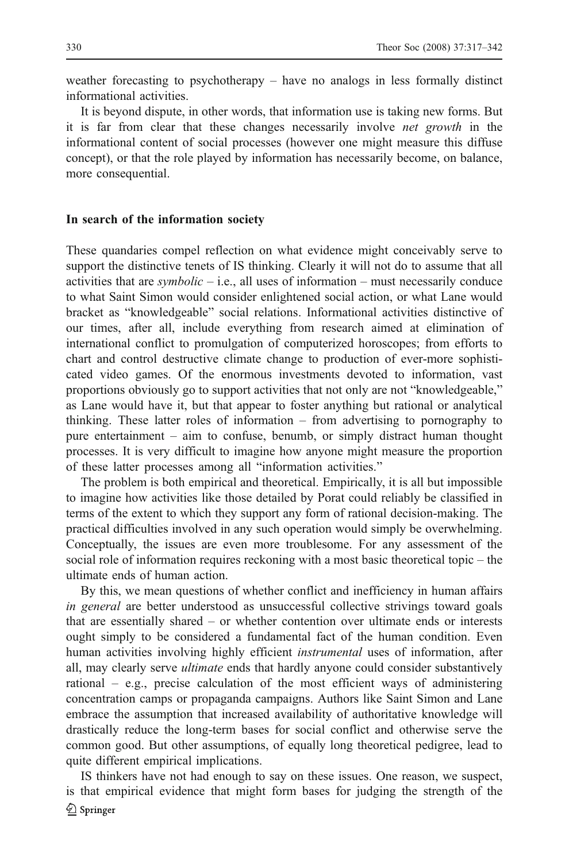weather forecasting to psychotherapy – have no analogs in less formally distinct informational activities.

It is beyond dispute, in other words, that information use is taking new forms. But it is far from clear that these changes necessarily involve net growth in the informational content of social processes (however one might measure this diffuse concept), or that the role played by information has necessarily become, on balance, more consequential.

#### In search of the information society

These quandaries compel reflection on what evidence might conceivably serve to support the distinctive tenets of IS thinking. Clearly it will not do to assume that all activities that are  $symbolic$  – i.e., all uses of information – must necessarily conduce to what Saint Simon would consider enlightened social action, or what Lane would bracket as "knowledgeable" social relations. Informational activities distinctive of our times, after all, include everything from research aimed at elimination of international conflict to promulgation of computerized horoscopes; from efforts to chart and control destructive climate change to production of ever-more sophisticated video games. Of the enormous investments devoted to information, vast proportions obviously go to support activities that not only are not "knowledgeable," as Lane would have it, but that appear to foster anything but rational or analytical thinking. These latter roles of information – from advertising to pornography to pure entertainment – aim to confuse, benumb, or simply distract human thought processes. It is very difficult to imagine how anyone might measure the proportion of these latter processes among all "information activities."

The problem is both empirical and theoretical. Empirically, it is all but impossible to imagine how activities like those detailed by Porat could reliably be classified in terms of the extent to which they support any form of rational decision-making. The practical difficulties involved in any such operation would simply be overwhelming. Conceptually, the issues are even more troublesome. For any assessment of the social role of information requires reckoning with a most basic theoretical topic – the ultimate ends of human action.

By this, we mean questions of whether conflict and inefficiency in human affairs in general are better understood as unsuccessful collective strivings toward goals that are essentially shared – or whether contention over ultimate ends or interests ought simply to be considered a fundamental fact of the human condition. Even human activities involving highly efficient *instrumental* uses of information, after all, may clearly serve *ultimate* ends that hardly anyone could consider substantively rational – e.g., precise calculation of the most efficient ways of administering concentration camps or propaganda campaigns. Authors like Saint Simon and Lane embrace the assumption that increased availability of authoritative knowledge will drastically reduce the long-term bases for social conflict and otherwise serve the common good. But other assumptions, of equally long theoretical pedigree, lead to quite different empirical implications.

IS thinkers have not had enough to say on these issues. One reason, we suspect, is that empirical evidence that might form bases for judging the strength of the  $\textcircled{2}$  Springer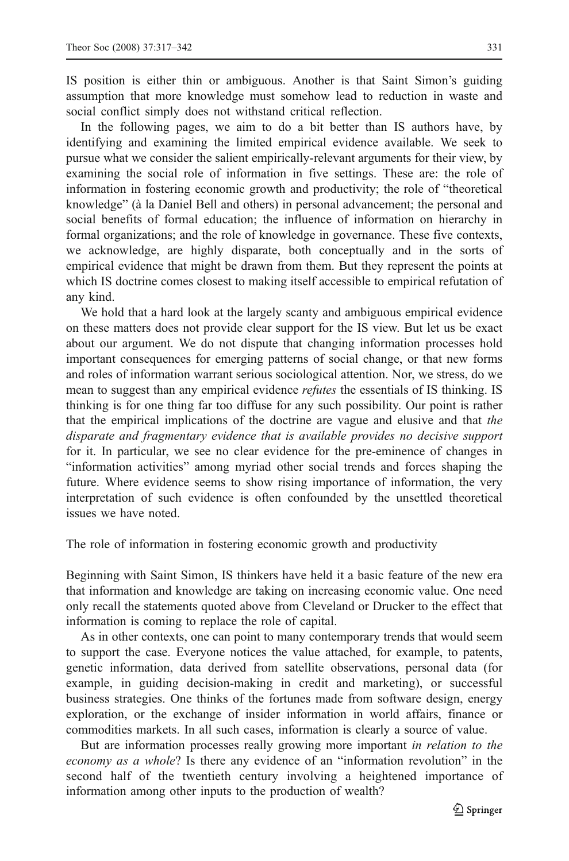IS position is either thin or ambiguous. Another is that Saint Simon's guiding assumption that more knowledge must somehow lead to reduction in waste and social conflict simply does not withstand critical reflection.

In the following pages, we aim to do a bit better than IS authors have, by identifying and examining the limited empirical evidence available. We seek to pursue what we consider the salient empirically-relevant arguments for their view, by examining the social role of information in five settings. These are: the role of information in fostering economic growth and productivity; the role of "theoretical knowledge" (à la Daniel Bell and others) in personal advancement; the personal and social benefits of formal education; the influence of information on hierarchy in formal organizations; and the role of knowledge in governance. These five contexts, we acknowledge, are highly disparate, both conceptually and in the sorts of empirical evidence that might be drawn from them. But they represent the points at which IS doctrine comes closest to making itself accessible to empirical refutation of any kind.

We hold that a hard look at the largely scanty and ambiguous empirical evidence on these matters does not provide clear support for the IS view. But let us be exact about our argument. We do not dispute that changing information processes hold important consequences for emerging patterns of social change, or that new forms and roles of information warrant serious sociological attention. Nor, we stress, do we mean to suggest than any empirical evidence *refutes* the essentials of IS thinking. IS thinking is for one thing far too diffuse for any such possibility. Our point is rather that the empirical implications of the doctrine are vague and elusive and that the disparate and fragmentary evidence that is available provides no decisive support for it. In particular, we see no clear evidence for the pre-eminence of changes in "information activities" among myriad other social trends and forces shaping the future. Where evidence seems to show rising importance of information, the very interpretation of such evidence is often confounded by the unsettled theoretical issues we have noted.

The role of information in fostering economic growth and productivity

Beginning with Saint Simon, IS thinkers have held it a basic feature of the new era that information and knowledge are taking on increasing economic value. One need only recall the statements quoted above from Cleveland or Drucker to the effect that information is coming to replace the role of capital.

As in other contexts, one can point to many contemporary trends that would seem to support the case. Everyone notices the value attached, for example, to patents, genetic information, data derived from satellite observations, personal data (for example, in guiding decision-making in credit and marketing), or successful business strategies. One thinks of the fortunes made from software design, energy exploration, or the exchange of insider information in world affairs, finance or commodities markets. In all such cases, information is clearly a source of value.

But are information processes really growing more important in relation to the economy as a whole? Is there any evidence of an "information revolution" in the second half of the twentieth century involving a heightened importance of information among other inputs to the production of wealth?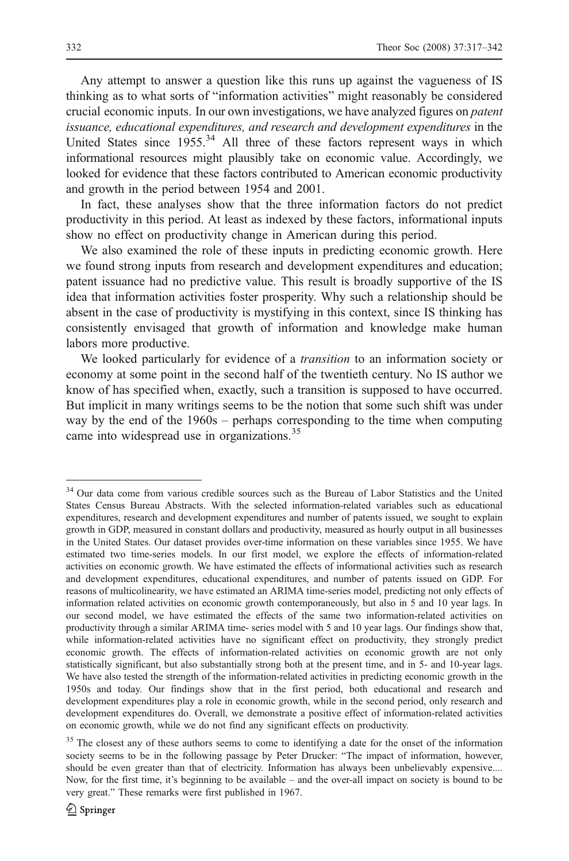Any attempt to answer a question like this runs up against the vagueness of IS thinking as to what sorts of "information activities" might reasonably be considered crucial economic inputs. In our own investigations, we have analyzed figures on patent issuance, educational expenditures, and research and development expenditures in the United States since  $1955^{34}$  All three of these factors represent ways in which informational resources might plausibly take on economic value. Accordingly, we looked for evidence that these factors contributed to American economic productivity and growth in the period between 1954 and 2001.

In fact, these analyses show that the three information factors do not predict productivity in this period. At least as indexed by these factors, informational inputs show no effect on productivity change in American during this period.

We also examined the role of these inputs in predicting economic growth. Here we found strong inputs from research and development expenditures and education; patent issuance had no predictive value. This result is broadly supportive of the IS idea that information activities foster prosperity. Why such a relationship should be absent in the case of productivity is mystifying in this context, since IS thinking has consistently envisaged that growth of information and knowledge make human labors more productive.

We looked particularly for evidence of a *transition* to an information society or economy at some point in the second half of the twentieth century. No IS author we know of has specified when, exactly, such a transition is supposed to have occurred. But implicit in many writings seems to be the notion that some such shift was under way by the end of the 1960s – perhaps corresponding to the time when computing came into widespread use in organizations.<sup>35</sup>

<sup>&</sup>lt;sup>34</sup> Our data come from various credible sources such as the Bureau of Labor Statistics and the United States Census Bureau Abstracts. With the selected information-related variables such as educational expenditures, research and development expenditures and number of patents issued, we sought to explain growth in GDP, measured in constant dollars and productivity, measured as hourly output in all businesses in the United States. Our dataset provides over-time information on these variables since 1955. We have estimated two time-series models. In our first model, we explore the effects of information-related activities on economic growth. We have estimated the effects of informational activities such as research and development expenditures, educational expenditures, and number of patents issued on GDP. For reasons of multicolinearity, we have estimated an ARIMA time-series model, predicting not only effects of information related activities on economic growth contemporaneously, but also in 5 and 10 year lags. In our second model, we have estimated the effects of the same two information-related activities on productivity through a similar ARIMA time- series model with 5 and 10 year lags. Our findings show that, while information-related activities have no significant effect on productivity, they strongly predict economic growth. The effects of information-related activities on economic growth are not only statistically significant, but also substantially strong both at the present time, and in 5- and 10-year lags. We have also tested the strength of the information-related activities in predicting economic growth in the 1950s and today. Our findings show that in the first period, both educational and research and development expenditures play a role in economic growth, while in the second period, only research and development expenditures do. Overall, we demonstrate a positive effect of information-related activities on economic growth, while we do not find any significant effects on productivity.

<sup>&</sup>lt;sup>35</sup> The closest any of these authors seems to come to identifying a date for the onset of the information society seems to be in the following passage by Peter Drucker: "The impact of information, however, should be even greater than that of electricity. Information has always been unbelievably expensive.... Now, for the first time, it's beginning to be available – and the over-all impact on society is bound to be very great." These remarks were first published in 1967.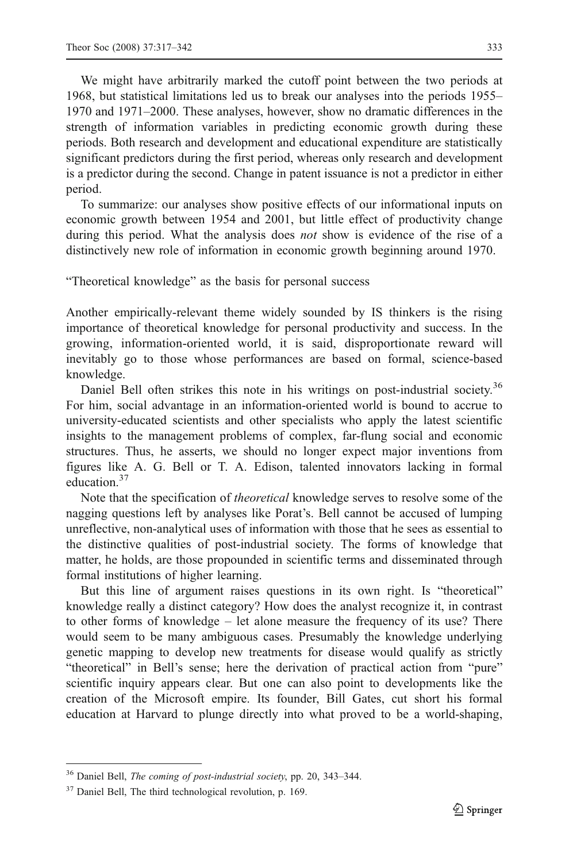We might have arbitrarily marked the cutoff point between the two periods at 1968, but statistical limitations led us to break our analyses into the periods 1955– 1970 and 1971–2000. These analyses, however, show no dramatic differences in the strength of information variables in predicting economic growth during these periods. Both research and development and educational expenditure are statistically significant predictors during the first period, whereas only research and development is a predictor during the second. Change in patent issuance is not a predictor in either period.

To summarize: our analyses show positive effects of our informational inputs on economic growth between 1954 and 2001, but little effect of productivity change during this period. What the analysis does *not* show is evidence of the rise of a distinctively new role of information in economic growth beginning around 1970.

"Theoretical knowledge" as the basis for personal success

Another empirically-relevant theme widely sounded by IS thinkers is the rising importance of theoretical knowledge for personal productivity and success. In the growing, information-oriented world, it is said, disproportionate reward will inevitably go to those whose performances are based on formal, science-based knowledge.

Daniel Bell often strikes this note in his writings on post-industrial society.<sup>36</sup> For him, social advantage in an information-oriented world is bound to accrue to university-educated scientists and other specialists who apply the latest scientific insights to the management problems of complex, far-flung social and economic structures. Thus, he asserts, we should no longer expect major inventions from figures like A. G. Bell or T. A. Edison, talented innovators lacking in formal education<sup>37</sup>

Note that the specification of theoretical knowledge serves to resolve some of the nagging questions left by analyses like Porat's. Bell cannot be accused of lumping unreflective, non-analytical uses of information with those that he sees as essential to the distinctive qualities of post-industrial society. The forms of knowledge that matter, he holds, are those propounded in scientific terms and disseminated through formal institutions of higher learning.

But this line of argument raises questions in its own right. Is "theoretical" knowledge really a distinct category? How does the analyst recognize it, in contrast to other forms of knowledge – let alone measure the frequency of its use? There would seem to be many ambiguous cases. Presumably the knowledge underlying genetic mapping to develop new treatments for disease would qualify as strictly "theoretical" in Bell's sense; here the derivation of practical action from "pure" scientific inquiry appears clear. But one can also point to developments like the creation of the Microsoft empire. Its founder, Bill Gates, cut short his formal education at Harvard to plunge directly into what proved to be a world-shaping,

<sup>&</sup>lt;sup>36</sup> Daniel Bell, *The coming of post-industrial society*, pp. 20, 343-344.

<sup>37</sup> Daniel Bell, The third technological revolution, p. 169.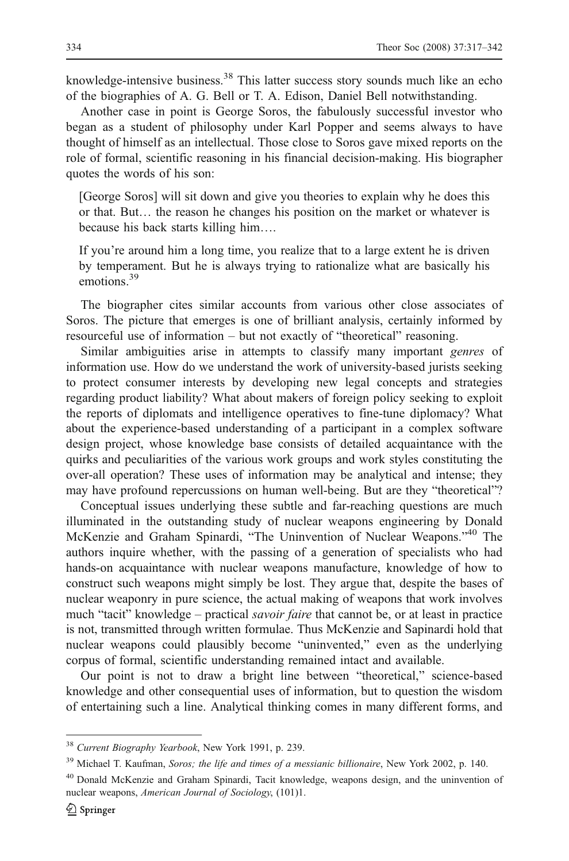knowledge-intensive business.<sup>38</sup> This latter success story sounds much like an echo of the biographies of A. G. Bell or T. A. Edison, Daniel Bell notwithstanding.

Another case in point is George Soros, the fabulously successful investor who began as a student of philosophy under Karl Popper and seems always to have thought of himself as an intellectual. Those close to Soros gave mixed reports on the role of formal, scientific reasoning in his financial decision-making. His biographer quotes the words of his son:

[George Soros] will sit down and give you theories to explain why he does this or that. But… the reason he changes his position on the market or whatever is because his back starts killing him….

If you're around him a long time, you realize that to a large extent he is driven by temperament. But he is always trying to rationalize what are basically his emotions<sup>39</sup>

The biographer cites similar accounts from various other close associates of Soros. The picture that emerges is one of brilliant analysis, certainly informed by resourceful use of information – but not exactly of "theoretical" reasoning.

Similar ambiguities arise in attempts to classify many important genres of information use. How do we understand the work of university-based jurists seeking to protect consumer interests by developing new legal concepts and strategies regarding product liability? What about makers of foreign policy seeking to exploit the reports of diplomats and intelligence operatives to fine-tune diplomacy? What about the experience-based understanding of a participant in a complex software design project, whose knowledge base consists of detailed acquaintance with the quirks and peculiarities of the various work groups and work styles constituting the over-all operation? These uses of information may be analytical and intense; they may have profound repercussions on human well-being. But are they "theoretical"?

Conceptual issues underlying these subtle and far-reaching questions are much illuminated in the outstanding study of nuclear weapons engineering by Donald McKenzie and Graham Spinardi, "The Uninvention of Nuclear Weapons." <sup>40</sup> The authors inquire whether, with the passing of a generation of specialists who had hands-on acquaintance with nuclear weapons manufacture, knowledge of how to construct such weapons might simply be lost. They argue that, despite the bases of nuclear weaponry in pure science, the actual making of weapons that work involves much "tacit" knowledge – practical *savoir faire* that cannot be, or at least in practice is not, transmitted through written formulae. Thus McKenzie and Sapinardi hold that nuclear weapons could plausibly become "uninvented," even as the underlying corpus of formal, scientific understanding remained intact and available.

Our point is not to draw a bright line between "theoretical," science-based knowledge and other consequential uses of information, but to question the wisdom of entertaining such a line. Analytical thinking comes in many different forms, and

<sup>&</sup>lt;sup>38</sup> Current Biography Yearbook, New York 1991, p. 239.

<sup>&</sup>lt;sup>39</sup> Michael T. Kaufman, Soros; the life and times of a messianic billionaire, New York 2002, p. 140.

<sup>&</sup>lt;sup>40</sup> Donald McKenzie and Graham Spinardi, Tacit knowledge, weapons design, and the uninvention of nuclear weapons, American Journal of Sociology, (101)1.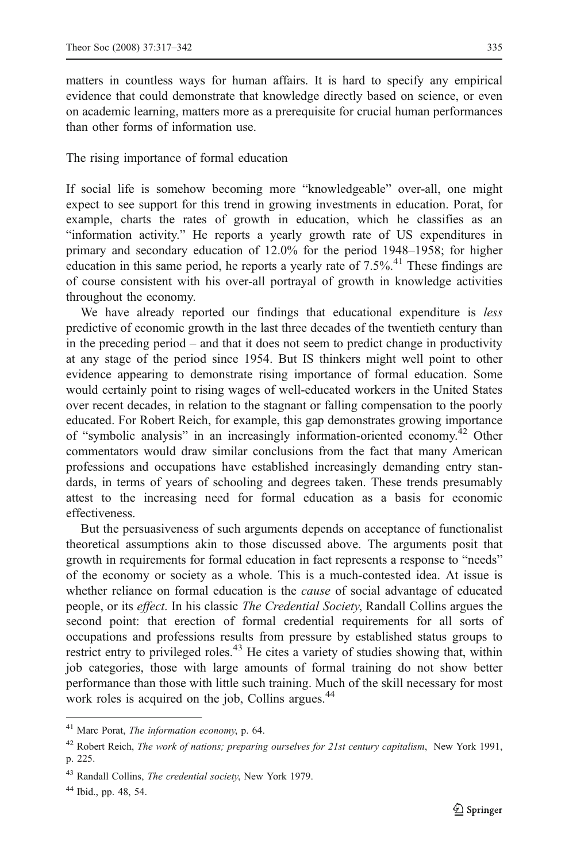matters in countless ways for human affairs. It is hard to specify any empirical evidence that could demonstrate that knowledge directly based on science, or even on academic learning, matters more as a prerequisite for crucial human performances than other forms of information use.

The rising importance of formal education

If social life is somehow becoming more "knowledgeable" over-all, one might expect to see support for this trend in growing investments in education. Porat, for example, charts the rates of growth in education, which he classifies as an "information activity." He reports a yearly growth rate of US expenditures in primary and secondary education of 12.0% for the period 1948–1958; for higher education in this same period, he reports a yearly rate of  $7.5\%$ <sup>41</sup>. These findings are of course consistent with his over-all portrayal of growth in knowledge activities throughout the economy.

We have already reported our findings that educational expenditure is *less* predictive of economic growth in the last three decades of the twentieth century than in the preceding period – and that it does not seem to predict change in productivity at any stage of the period since 1954. But IS thinkers might well point to other evidence appearing to demonstrate rising importance of formal education. Some would certainly point to rising wages of well-educated workers in the United States over recent decades, in relation to the stagnant or falling compensation to the poorly educated. For Robert Reich, for example, this gap demonstrates growing importance of "symbolic analysis" in an increasingly information-oriented economy.<sup>42</sup> Other commentators would draw similar conclusions from the fact that many American professions and occupations have established increasingly demanding entry standards, in terms of years of schooling and degrees taken. These trends presumably attest to the increasing need for formal education as a basis for economic effectiveness.

But the persuasiveness of such arguments depends on acceptance of functionalist theoretical assumptions akin to those discussed above. The arguments posit that growth in requirements for formal education in fact represents a response to "needs" of the economy or society as a whole. This is a much-contested idea. At issue is whether reliance on formal education is the *cause* of social advantage of educated people, or its effect. In his classic The Credential Society, Randall Collins argues the second point: that erection of formal credential requirements for all sorts of occupations and professions results from pressure by established status groups to restrict entry to privileged roles.<sup>43</sup> He cites a variety of studies showing that, within job categories, those with large amounts of formal training do not show better performance than those with little such training. Much of the skill necessary for most work roles is acquired on the job, Collins argues.<sup>44</sup>

<sup>&</sup>lt;sup>41</sup> Marc Porat, *The information economy*, p. 64.

<sup>&</sup>lt;sup>42</sup> Robert Reich, The work of nations; preparing ourselves for 21st century capitalism, New York 1991, p. 225.

<sup>&</sup>lt;sup>43</sup> Randall Collins, The credential society, New York 1979.

<sup>44</sup> Ibid., pp. 48, 54.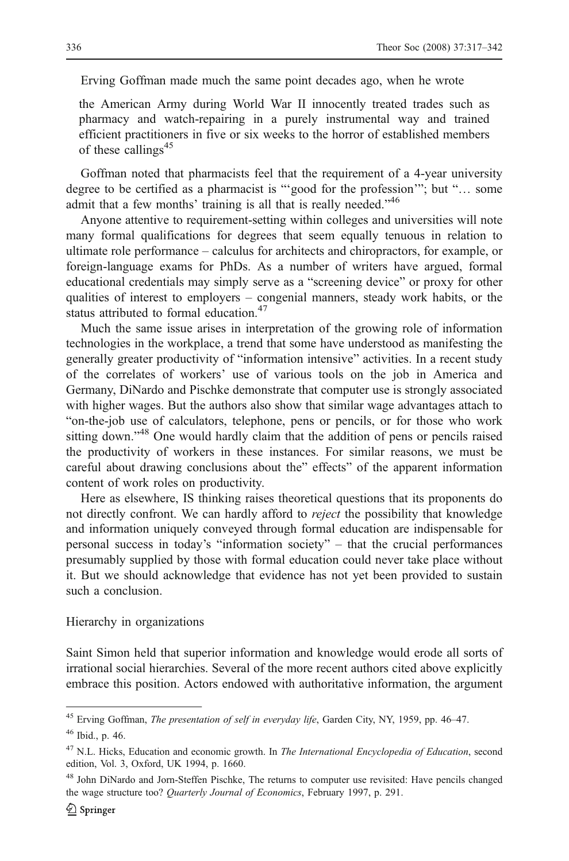Erving Goffman made much the same point decades ago, when he wrote

the American Army during World War II innocently treated trades such as pharmacy and watch-repairing in a purely instrumental way and trained efficient practitioners in five or six weeks to the horror of established members of these callings<sup>45</sup>

Goffman noted that pharmacists feel that the requirement of a 4-year university degree to be certified as a pharmacist is "'good for the profession'"; but "… some admit that a few months' training is all that is really needed."<sup>46</sup>

Anyone attentive to requirement-setting within colleges and universities will note many formal qualifications for degrees that seem equally tenuous in relation to ultimate role performance – calculus for architects and chiropractors, for example, or foreign-language exams for PhDs. As a number of writers have argued, formal educational credentials may simply serve as a "screening device" or proxy for other qualities of interest to employers – congenial manners, steady work habits, or the status attributed to formal education.<sup>47</sup>

Much the same issue arises in interpretation of the growing role of information technologies in the workplace, a trend that some have understood as manifesting the generally greater productivity of "information intensive" activities. In a recent study of the correlates of workers' use of various tools on the job in America and Germany, DiNardo and Pischke demonstrate that computer use is strongly associated with higher wages. But the authors also show that similar wage advantages attach to "on-the-job use of calculators, telephone, pens or pencils, or for those who work sitting down."<sup>48</sup> One would hardly claim that the addition of pens or pencils raised the productivity of workers in these instances. For similar reasons, we must be careful about drawing conclusions about the" effects" of the apparent information content of work roles on productivity.

Here as elsewhere, IS thinking raises theoretical questions that its proponents do not directly confront. We can hardly afford to reject the possibility that knowledge and information uniquely conveyed through formal education are indispensable for personal success in today's "information society" – that the crucial performances presumably supplied by those with formal education could never take place without it. But we should acknowledge that evidence has not yet been provided to sustain such a conclusion.

#### Hierarchy in organizations

Saint Simon held that superior information and knowledge would erode all sorts of irrational social hierarchies. Several of the more recent authors cited above explicitly embrace this position. Actors endowed with authoritative information, the argument

<sup>&</sup>lt;sup>45</sup> Erving Goffman, *The presentation of self in everyday life*, Garden City, NY, 1959, pp. 46-47.

<sup>46</sup> Ibid., p. 46.

<sup>&</sup>lt;sup>47</sup> N.L. Hicks, Education and economic growth. In *The International Encyclopedia of Education*, second edition, Vol. 3, Oxford, UK 1994, p. 1660.

<sup>&</sup>lt;sup>48</sup> John DiNardo and Jorn-Steffen Pischke, The returns to computer use revisited: Have pencils changed the wage structure too? Quarterly Journal of Economics, February 1997, p. 291.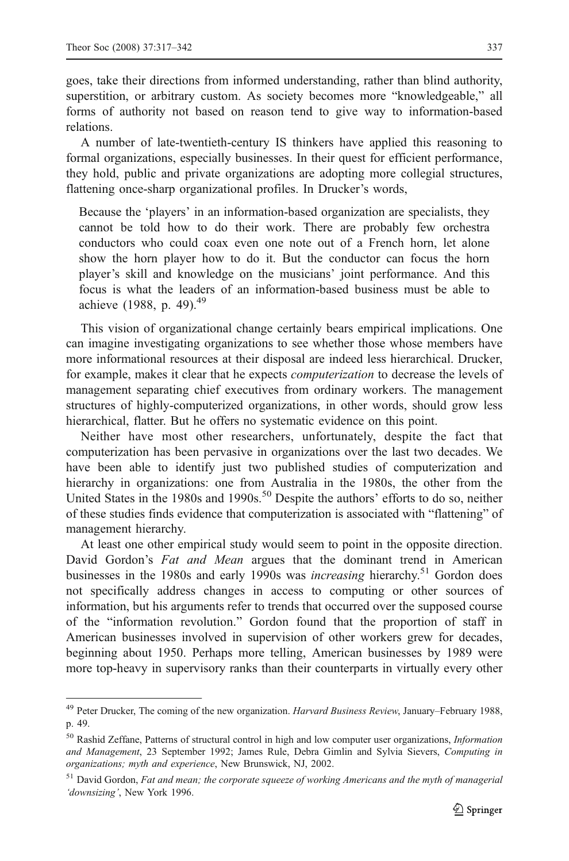goes, take their directions from informed understanding, rather than blind authority, superstition, or arbitrary custom. As society becomes more "knowledgeable," all forms of authority not based on reason tend to give way to information-based relations.

A number of late-twentieth-century IS thinkers have applied this reasoning to formal organizations, especially businesses. In their quest for efficient performance, they hold, public and private organizations are adopting more collegial structures, flattening once-sharp organizational profiles. In Drucker's words,

Because the 'players' in an information-based organization are specialists, they cannot be told how to do their work. There are probably few orchestra conductors who could coax even one note out of a French horn, let alone show the horn player how to do it. But the conductor can focus the horn player's skill and knowledge on the musicians' joint performance. And this focus is what the leaders of an information-based business must be able to achieve (1988, p. 49). $49$ 

This vision of organizational change certainly bears empirical implications. One can imagine investigating organizations to see whether those whose members have more informational resources at their disposal are indeed less hierarchical. Drucker, for example, makes it clear that he expects computerization to decrease the levels of management separating chief executives from ordinary workers. The management structures of highly-computerized organizations, in other words, should grow less hierarchical, flatter. But he offers no systematic evidence on this point.

Neither have most other researchers, unfortunately, despite the fact that computerization has been pervasive in organizations over the last two decades. We have been able to identify just two published studies of computerization and hierarchy in organizations: one from Australia in the 1980s, the other from the United States in the  $1980s$  and  $1990s$ .<sup>50</sup> Despite the authors' efforts to do so, neither of these studies finds evidence that computerization is associated with "flattening" of management hierarchy.

At least one other empirical study would seem to point in the opposite direction. David Gordon's Fat and Mean argues that the dominant trend in American businesses in the 1980s and early 1990s was *increasing* hierarchy.<sup>51</sup> Gordon does not specifically address changes in access to computing or other sources of information, but his arguments refer to trends that occurred over the supposed course of the "information revolution." Gordon found that the proportion of staff in American businesses involved in supervision of other workers grew for decades, beginning about 1950. Perhaps more telling, American businesses by 1989 were more top-heavy in supervisory ranks than their counterparts in virtually every other

<sup>&</sup>lt;sup>49</sup> Peter Drucker, The coming of the new organization. Harvard Business Review, January–February 1988, p. 49.

<sup>&</sup>lt;sup>50</sup> Rashid Zeffane, Patterns of structural control in high and low computer user organizations, Information and Management, 23 September 1992; James Rule, Debra Gimlin and Sylvia Sievers, Computing in organizations; myth and experience, New Brunswick, NJ, 2002.

 $51$  David Gordon, Fat and mean; the corporate squeeze of working Americans and the myth of managerial 'downsizing', New York 1996.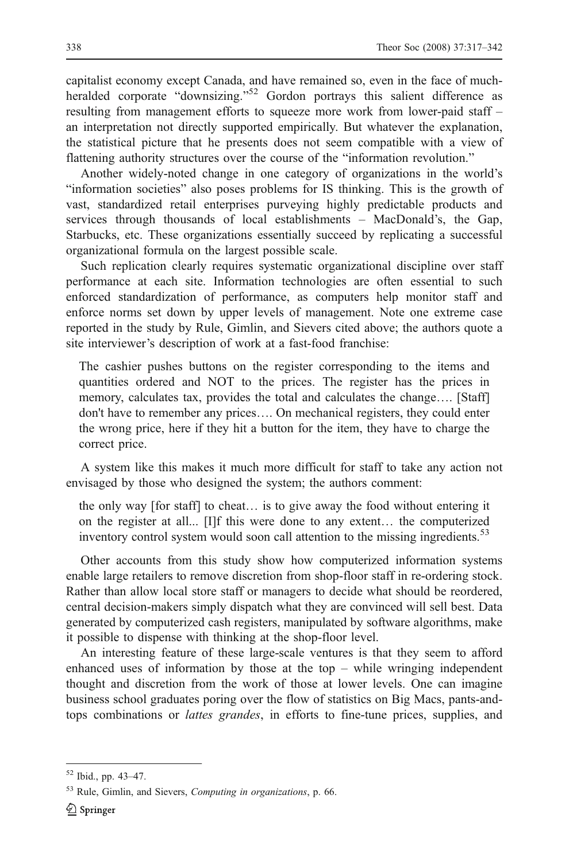capitalist economy except Canada, and have remained so, even in the face of muchheralded corporate "downsizing."<sup>52</sup> Gordon portrays this salient difference as resulting from management efforts to squeeze more work from lower-paid staff – an interpretation not directly supported empirically. But whatever the explanation, the statistical picture that he presents does not seem compatible with a view of flattening authority structures over the course of the "information revolution."

Another widely-noted change in one category of organizations in the world's "information societies" also poses problems for IS thinking. This is the growth of vast, standardized retail enterprises purveying highly predictable products and services through thousands of local establishments – MacDonald's, the Gap, Starbucks, etc. These organizations essentially succeed by replicating a successful organizational formula on the largest possible scale.

Such replication clearly requires systematic organizational discipline over staff performance at each site. Information technologies are often essential to such enforced standardization of performance, as computers help monitor staff and enforce norms set down by upper levels of management. Note one extreme case reported in the study by Rule, Gimlin, and Sievers cited above; the authors quote a site interviewer's description of work at a fast-food franchise:

The cashier pushes buttons on the register corresponding to the items and quantities ordered and NOT to the prices. The register has the prices in memory, calculates tax, provides the total and calculates the change…. [Staff] don't have to remember any prices…. On mechanical registers, they could enter the wrong price, here if they hit a button for the item, they have to charge the correct price.

A system like this makes it much more difficult for staff to take any action not envisaged by those who designed the system; the authors comment:

the only way [for staff] to cheat… is to give away the food without entering it on the register at all... [I]f this were done to any extent… the computerized inventory control system would soon call attention to the missing ingredients.<sup>53</sup>

Other accounts from this study show how computerized information systems enable large retailers to remove discretion from shop-floor staff in re-ordering stock. Rather than allow local store staff or managers to decide what should be reordered, central decision-makers simply dispatch what they are convinced will sell best. Data generated by computerized cash registers, manipulated by software algorithms, make it possible to dispense with thinking at the shop-floor level.

An interesting feature of these large-scale ventures is that they seem to afford enhanced uses of information by those at the top – while wringing independent thought and discretion from the work of those at lower levels. One can imagine business school graduates poring over the flow of statistics on Big Macs, pants-andtops combinations or lattes grandes, in efforts to fine-tune prices, supplies, and

<sup>52</sup> Ibid., pp. 43–47.

<sup>53</sup> Rule, Gimlin, and Sievers, Computing in organizations, p. 66.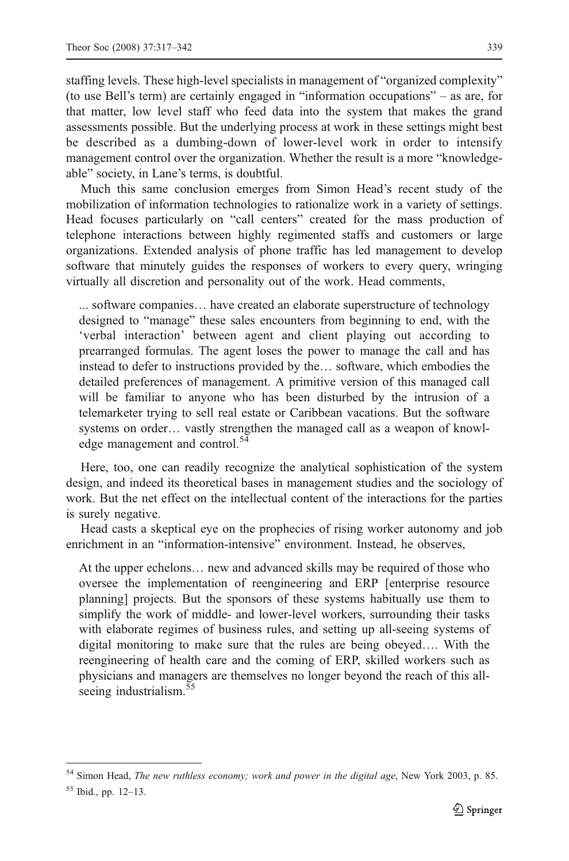staffing levels. These high-level specialists in management of "organized complexity" (to use Bell's term) are certainly engaged in "information occupations" – as are, for that matter, low level staff who feed data into the system that makes the grand assessments possible. But the underlying process at work in these settings might best be described as a dumbing-down of lower-level work in order to intensify management control over the organization. Whether the result is a more "knowledgeable" society, in Lane's terms, is doubtful.

Much this same conclusion emerges from Simon Head's recent study of the mobilization of information technologies to rationalize work in a variety of settings. Head focuses particularly on "call centers" created for the mass production of telephone interactions between highly regimented staffs and customers or large organizations. Extended analysis of phone traffic has led management to develop software that minutely guides the responses of workers to every query, wringing virtually all discretion and personality out of the work. Head comments,

... software companies… have created an elaborate superstructure of technology designed to "manage" these sales encounters from beginning to end, with the 'verbal interaction' between agent and client playing out according to prearranged formulas. The agent loses the power to manage the call and has instead to defer to instructions provided by the… software, which embodies the detailed preferences of management. A primitive version of this managed call will be familiar to anyone who has been disturbed by the intrusion of a telemarketer trying to sell real estate or Caribbean vacations. But the software systems on order… vastly strengthen the managed call as a weapon of knowledge management and control.<sup>54</sup>

Here, too, one can readily recognize the analytical sophistication of the system design, and indeed its theoretical bases in management studies and the sociology of work. But the net effect on the intellectual content of the interactions for the parties is surely negative.

Head casts a skeptical eye on the prophecies of rising worker autonomy and job enrichment in an "information-intensive" environment. Instead, he observes,

At the upper echelons… new and advanced skills may be required of those who oversee the implementation of reengineering and ERP [enterprise resource planning] projects. But the sponsors of these systems habitually use them to simplify the work of middle- and lower-level workers, surrounding their tasks with elaborate regimes of business rules, and setting up all-seeing systems of digital monitoring to make sure that the rules are being obeyed…. With the reengineering of health care and the coming of ERP, skilled workers such as physicians and managers are themselves no longer beyond the reach of this allseeing industrialism.<sup>55</sup>

<sup>&</sup>lt;sup>54</sup> Simon Head, The new ruthless economy; work and power in the digital age, New York 2003, p. 85.

<sup>55</sup> Ibid., pp. 12–13.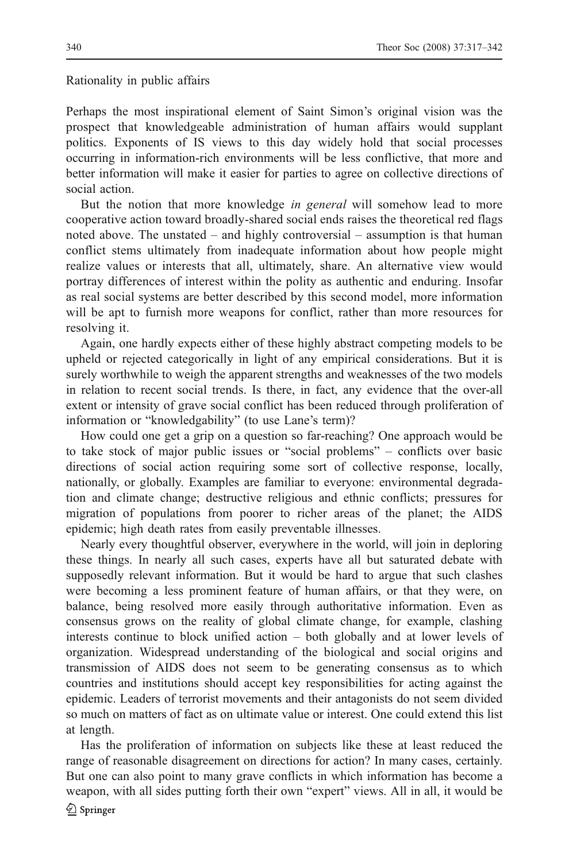#### Rationality in public affairs

Perhaps the most inspirational element of Saint Simon's original vision was the prospect that knowledgeable administration of human affairs would supplant politics. Exponents of IS views to this day widely hold that social processes occurring in information-rich environments will be less conflictive, that more and better information will make it easier for parties to agree on collective directions of social action.

But the notion that more knowledge *in general* will somehow lead to more cooperative action toward broadly-shared social ends raises the theoretical red flags noted above. The unstated – and highly controversial – assumption is that human conflict stems ultimately from inadequate information about how people might realize values or interests that all, ultimately, share. An alternative view would portray differences of interest within the polity as authentic and enduring. Insofar as real social systems are better described by this second model, more information will be apt to furnish more weapons for conflict, rather than more resources for resolving it.

Again, one hardly expects either of these highly abstract competing models to be upheld or rejected categorically in light of any empirical considerations. But it is surely worthwhile to weigh the apparent strengths and weaknesses of the two models in relation to recent social trends. Is there, in fact, any evidence that the over-all extent or intensity of grave social conflict has been reduced through proliferation of information or "knowledgability" (to use Lane's term)?

How could one get a grip on a question so far-reaching? One approach would be to take stock of major public issues or "social problems" – conflicts over basic directions of social action requiring some sort of collective response, locally, nationally, or globally. Examples are familiar to everyone: environmental degradation and climate change; destructive religious and ethnic conflicts; pressures for migration of populations from poorer to richer areas of the planet; the AIDS epidemic; high death rates from easily preventable illnesses.

Nearly every thoughtful observer, everywhere in the world, will join in deploring these things. In nearly all such cases, experts have all but saturated debate with supposedly relevant information. But it would be hard to argue that such clashes were becoming a less prominent feature of human affairs, or that they were, on balance, being resolved more easily through authoritative information. Even as consensus grows on the reality of global climate change, for example, clashing interests continue to block unified action – both globally and at lower levels of organization. Widespread understanding of the biological and social origins and transmission of AIDS does not seem to be generating consensus as to which countries and institutions should accept key responsibilities for acting against the epidemic. Leaders of terrorist movements and their antagonists do not seem divided so much on matters of fact as on ultimate value or interest. One could extend this list at length.

Has the proliferation of information on subjects like these at least reduced the range of reasonable disagreement on directions for action? In many cases, certainly. But one can also point to many grave conflicts in which information has become a weapon, with all sides putting forth their own "expert" views. All in all, it would be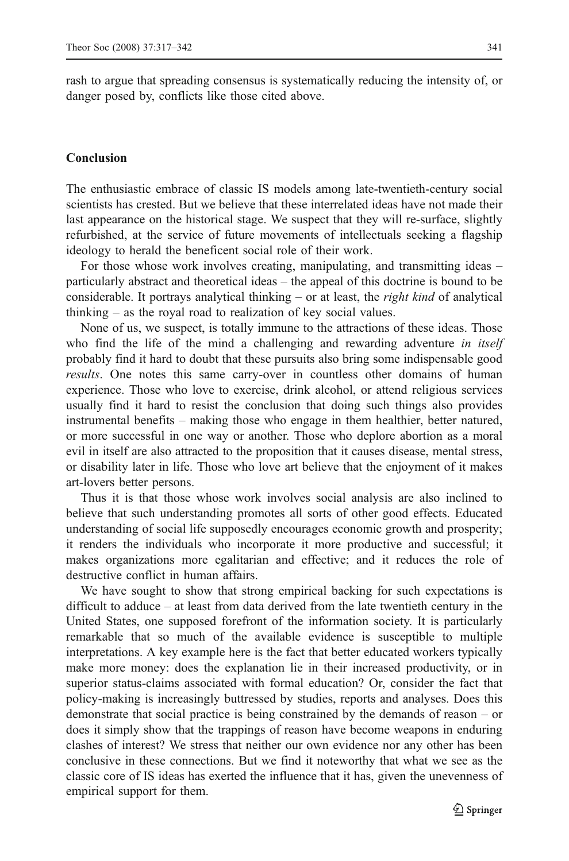rash to argue that spreading consensus is systematically reducing the intensity of, or danger posed by, conflicts like those cited above.

#### Conclusion

The enthusiastic embrace of classic IS models among late-twentieth-century social scientists has crested. But we believe that these interrelated ideas have not made their last appearance on the historical stage. We suspect that they will re-surface, slightly refurbished, at the service of future movements of intellectuals seeking a flagship ideology to herald the beneficent social role of their work.

For those whose work involves creating, manipulating, and transmitting ideas – particularly abstract and theoretical ideas – the appeal of this doctrine is bound to be considerable. It portrays analytical thinking  $-$  or at least, the *right kind* of analytical thinking – as the royal road to realization of key social values.

None of us, we suspect, is totally immune to the attractions of these ideas. Those who find the life of the mind a challenging and rewarding adventure in itself probably find it hard to doubt that these pursuits also bring some indispensable good results. One notes this same carry-over in countless other domains of human experience. Those who love to exercise, drink alcohol, or attend religious services usually find it hard to resist the conclusion that doing such things also provides instrumental benefits – making those who engage in them healthier, better natured, or more successful in one way or another. Those who deplore abortion as a moral evil in itself are also attracted to the proposition that it causes disease, mental stress, or disability later in life. Those who love art believe that the enjoyment of it makes art-lovers better persons.

Thus it is that those whose work involves social analysis are also inclined to believe that such understanding promotes all sorts of other good effects. Educated understanding of social life supposedly encourages economic growth and prosperity; it renders the individuals who incorporate it more productive and successful; it makes organizations more egalitarian and effective; and it reduces the role of destructive conflict in human affairs.

We have sought to show that strong empirical backing for such expectations is difficult to adduce – at least from data derived from the late twentieth century in the United States, one supposed forefront of the information society. It is particularly remarkable that so much of the available evidence is susceptible to multiple interpretations. A key example here is the fact that better educated workers typically make more money: does the explanation lie in their increased productivity, or in superior status-claims associated with formal education? Or, consider the fact that policy-making is increasingly buttressed by studies, reports and analyses. Does this demonstrate that social practice is being constrained by the demands of reason – or does it simply show that the trappings of reason have become weapons in enduring clashes of interest? We stress that neither our own evidence nor any other has been conclusive in these connections. But we find it noteworthy that what we see as the classic core of IS ideas has exerted the influence that it has, given the unevenness of empirical support for them.